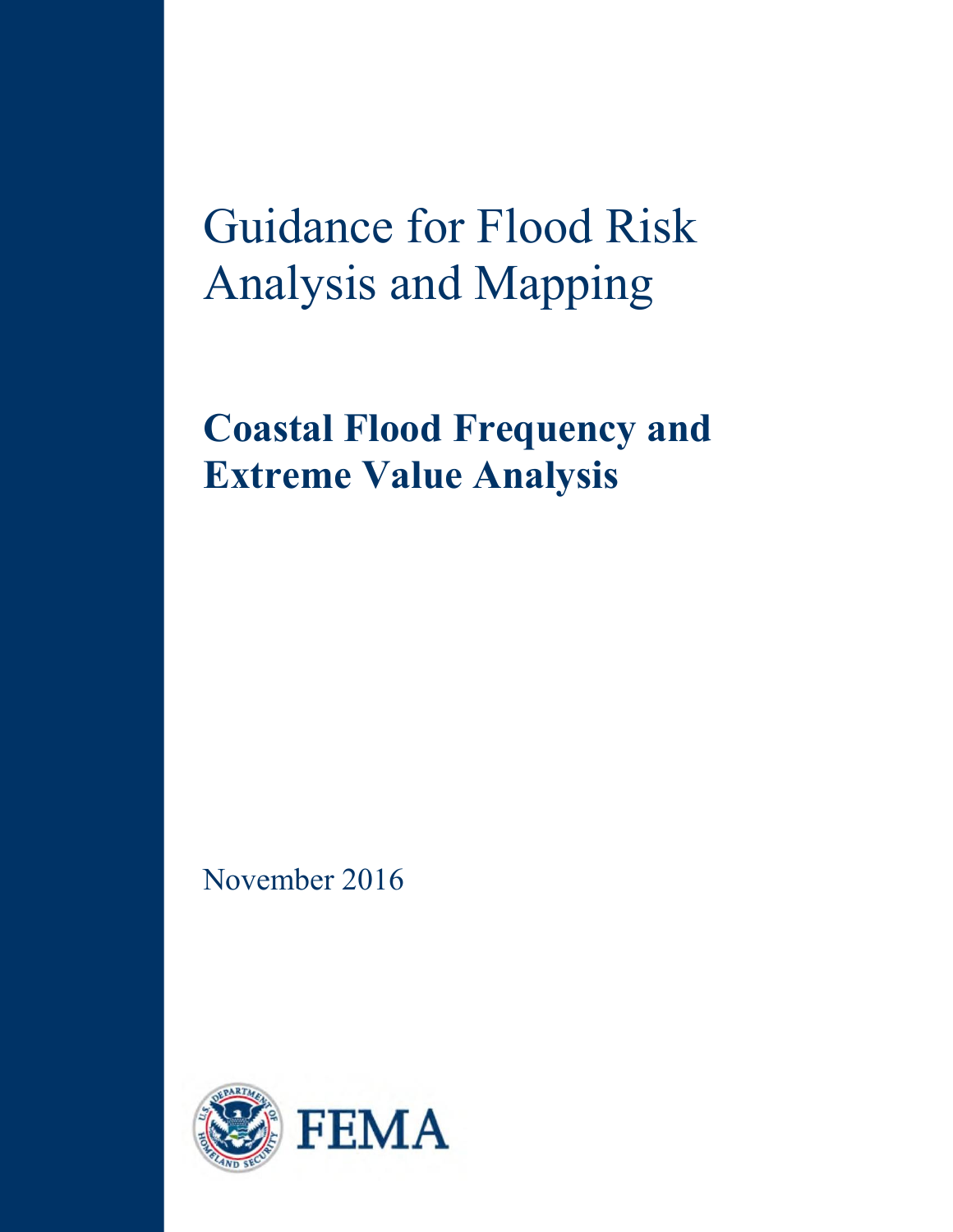Guidance for Flood Risk Analysis and Mapping

**Coastal Flood Frequency and Extreme Value Analysis** 

November 2016

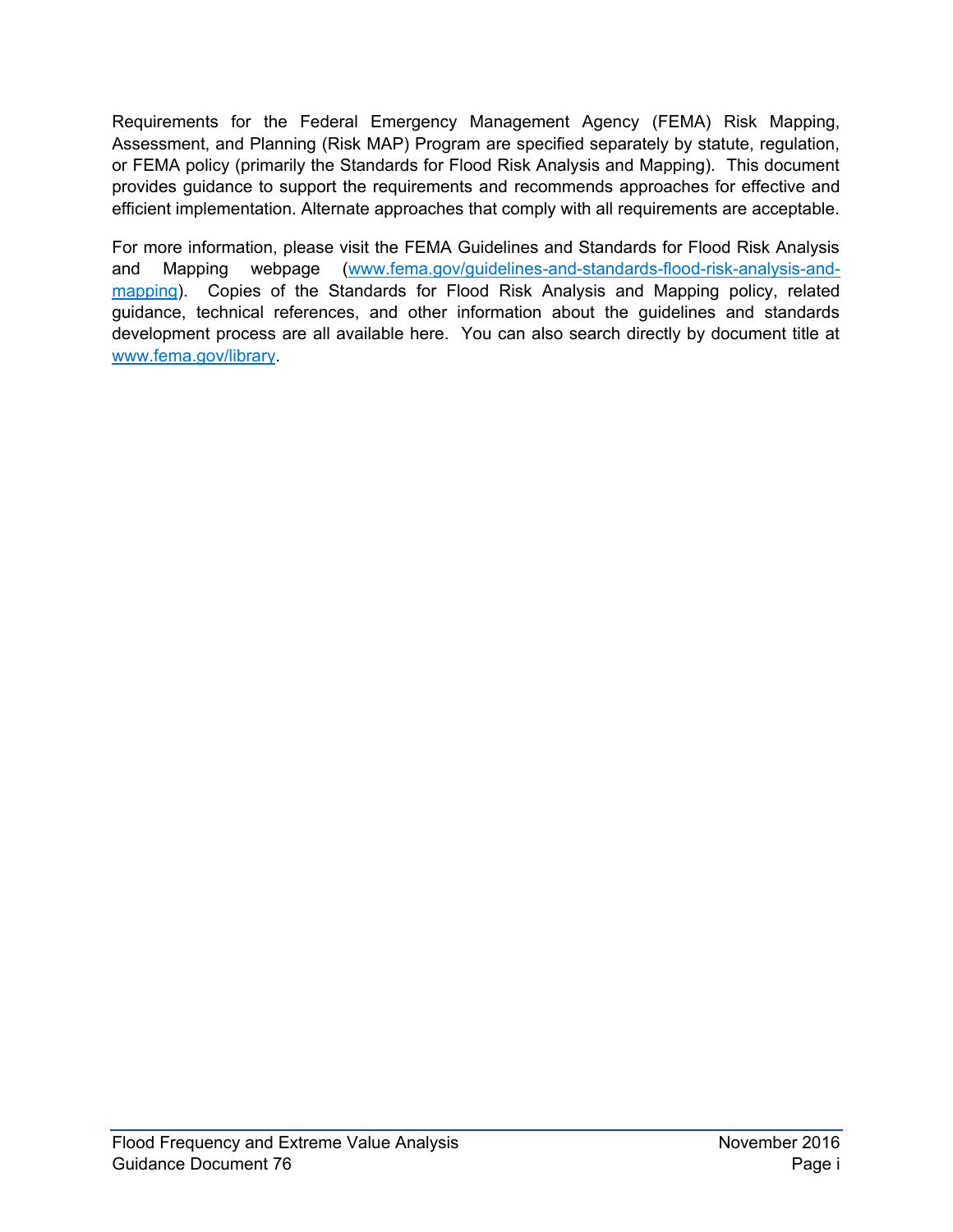Requirements for the Federal Emergency Management Agency (FEMA) Risk Mapping, Assessment, and Planning (Risk MAP) Program are specified separately by statute, regulation, or FEMA policy (primarily the Standards for Flood Risk Analysis and Mapping). This document provides guidance to support the requirements and recommends approaches for effective and efficient implementation. Alternate approaches that comply with all requirements are acceptable.

For more information, please visit the FEMA Guidelines and Standards for Flood Risk Analysis and Mapping webpage [\(www.fema.gov/guidelines-and-standards-flood-risk-analysis-and](http://www.fema.gov/guidelines-and-standards-flood-risk-analysis-and-mapping)[mapping\)](http://www.fema.gov/guidelines-and-standards-flood-risk-analysis-and-mapping). Copies of the Standards for Flood Risk Analysis and Mapping policy, related guidance, technical references, and other information about the guidelines and standards development process are all available here. You can also search directly by document title at [www.fema.gov/library.](http://www.fema.gov/library)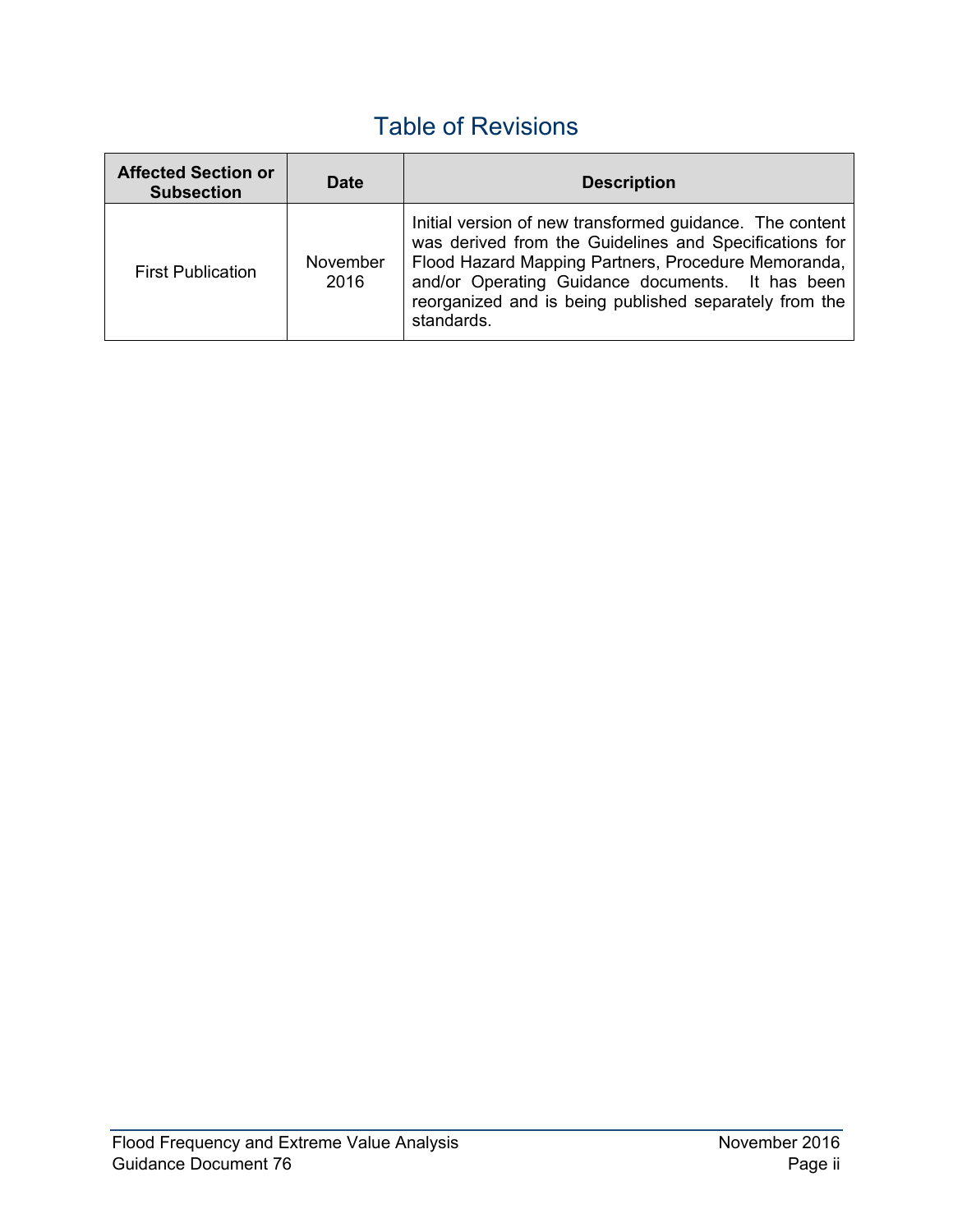# Table of Revisions

| <b>Affected Section or</b><br><b>Subsection</b> | <b>Date</b>      | <b>Description</b>                                                                                                                                                                                                                                                                                    |
|-------------------------------------------------|------------------|-------------------------------------------------------------------------------------------------------------------------------------------------------------------------------------------------------------------------------------------------------------------------------------------------------|
| <b>First Publication</b>                        | November<br>2016 | Initial version of new transformed guidance. The content<br>was derived from the Guidelines and Specifications for<br>Flood Hazard Mapping Partners, Procedure Memoranda,<br>and/or Operating Guidance documents. It has been<br>reorganized and is being published separately from the<br>standards. |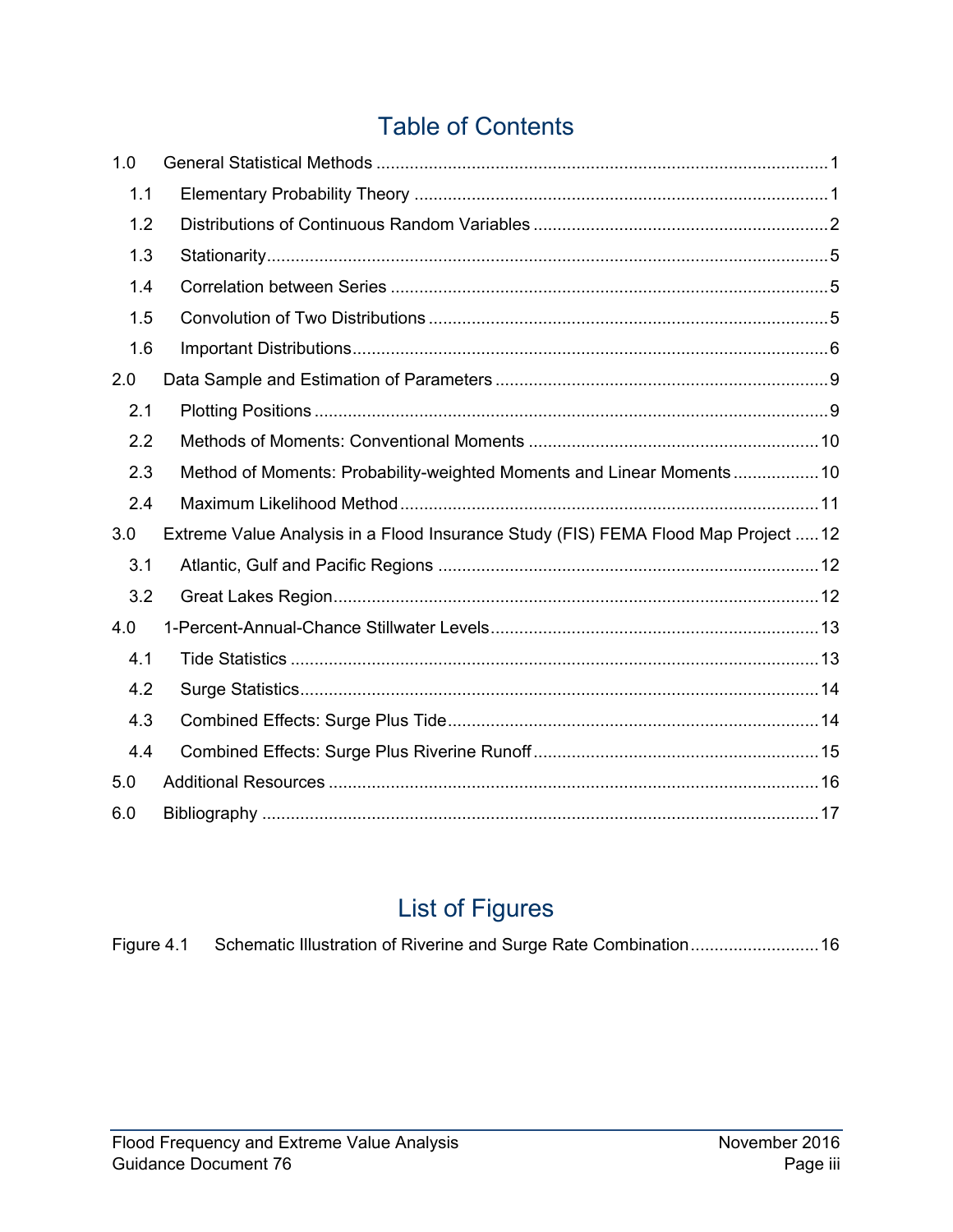# Table of Contents

| 1.0 |                                                                                    |
|-----|------------------------------------------------------------------------------------|
| 1.1 |                                                                                    |
| 1.2 |                                                                                    |
| 1.3 |                                                                                    |
| 1.4 |                                                                                    |
| 1.5 |                                                                                    |
| 1.6 |                                                                                    |
| 2.0 |                                                                                    |
| 2.1 |                                                                                    |
| 2.2 |                                                                                    |
| 2.3 | Method of Moments: Probability-weighted Moments and Linear Moments 10              |
| 2.4 |                                                                                    |
| 3.0 | Extreme Value Analysis in a Flood Insurance Study (FIS) FEMA Flood Map Project  12 |
| 3.1 |                                                                                    |
| 3.2 |                                                                                    |
| 4.0 |                                                                                    |
| 4.1 |                                                                                    |
| 4.2 |                                                                                    |
| 4.3 |                                                                                    |
| 4.4 |                                                                                    |
| 5.0 |                                                                                    |
|     |                                                                                    |

# List of Figures

| Figure 4.1 Schematic Illustration of Riverine and Surge Rate Combination 16 |
|-----------------------------------------------------------------------------|
|-----------------------------------------------------------------------------|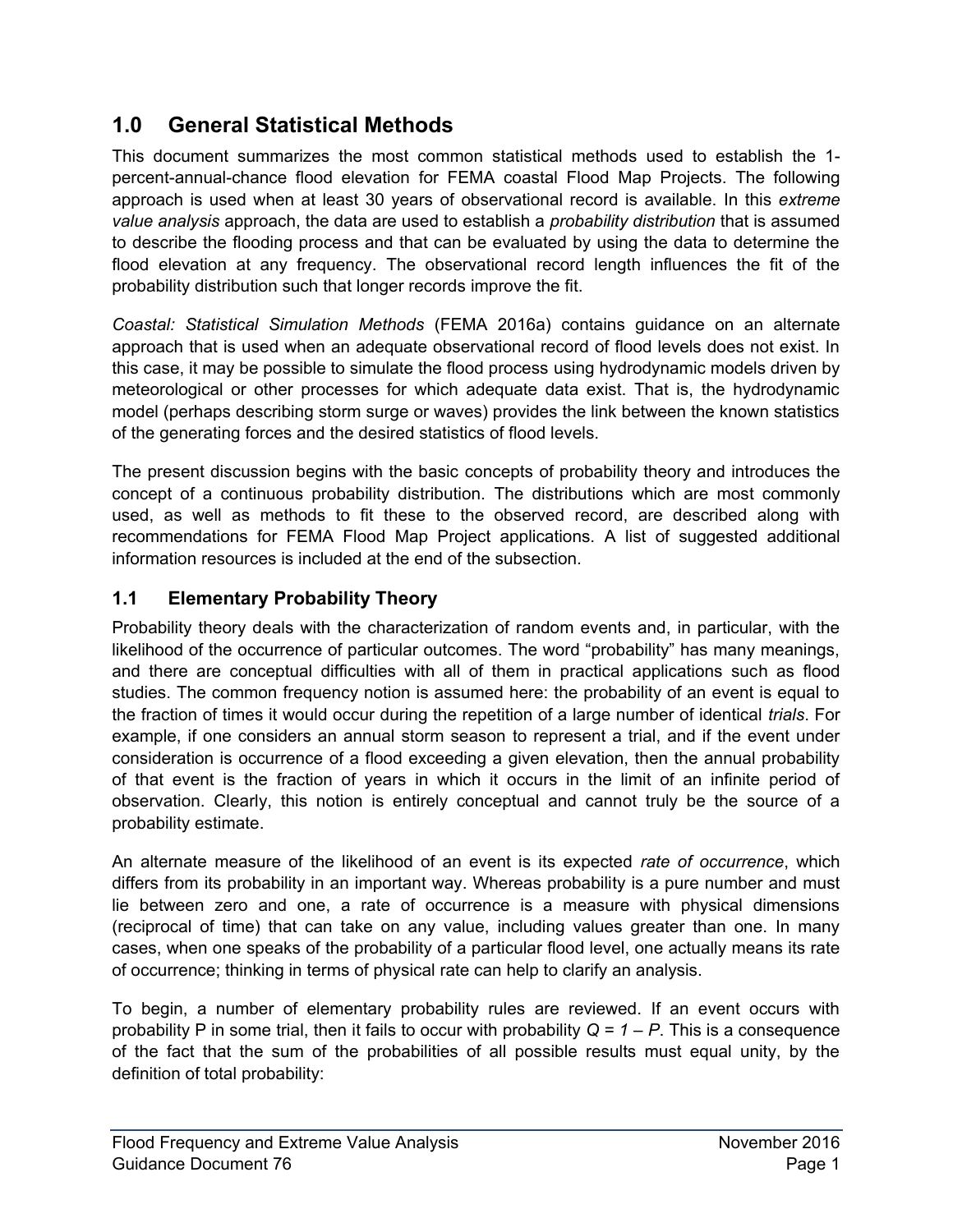## <span id="page-4-0"></span>**1.0 General Statistical Methods**

This document summarizes the most common statistical methods used to establish the 1 percent-annual-chance flood elevation for FEMA coastal Flood Map Projects. The following approach is used when at least 30 years of observational record is available. In this *extreme value analysis* approach, the data are used to establish a *probability distribution* that is assumed to describe the flooding process and that can be evaluated by using the data to determine the flood elevation at any frequency. The observational record length influences the fit of the probability distribution such that longer records improve the fit.

*Coastal: Statistical Simulation Methods* (FEMA 2016a) contains guidance on an alternate approach that is used when an adequate observational record of flood levels does not exist. In this case, it may be possible to simulate the flood process using hydrodynamic models driven by meteorological or other processes for which adequate data exist. That is, the hydrodynamic model (perhaps describing storm surge or waves) provides the link between the known statistics of the generating forces and the desired statistics of flood levels.

The present discussion begins with the basic concepts of probability theory and introduces the concept of a continuous probability distribution. The distributions which are most commonly used, as well as methods to fit these to the observed record, are described along with recommendations for FEMA Flood Map Project applications. A list of suggested additional information resources is included at the end of the subsection.

## <span id="page-4-1"></span>**1.1 Elementary Probability Theory**

Probability theory deals with the characterization of random events and, in particular, with the likelihood of the occurrence of particular outcomes. The word "probability" has many meanings, and there are conceptual difficulties with all of them in practical applications such as flood studies. The common frequency notion is assumed here: the probability of an event is equal to the fraction of times it would occur during the repetition of a large number of identical *trials*. For example, if one considers an annual storm season to represent a trial, and if the event under consideration is occurrence of a flood exceeding a given elevation, then the annual probability of that event is the fraction of years in which it occurs in the limit of an infinite period of observation. Clearly, this notion is entirely conceptual and cannot truly be the source of a probability estimate.

An alternate measure of the likelihood of an event is its expected *rate of occurrence*, which differs from its probability in an important way. Whereas probability is a pure number and must lie between zero and one, a rate of occurrence is a measure with physical dimensions (reciprocal of time) that can take on any value, including values greater than one. In many cases, when one speaks of the probability of a particular flood level, one actually means its rate of occurrence; thinking in terms of physical rate can help to clarify an analysis.

To begin, a number of elementary probability rules are reviewed. If an event occurs with probability P in some trial, then it fails to occur with probability *Q = 1 – P*. This is a consequence of the fact that the sum of the probabilities of all possible results must equal unity, by the definition of total probability: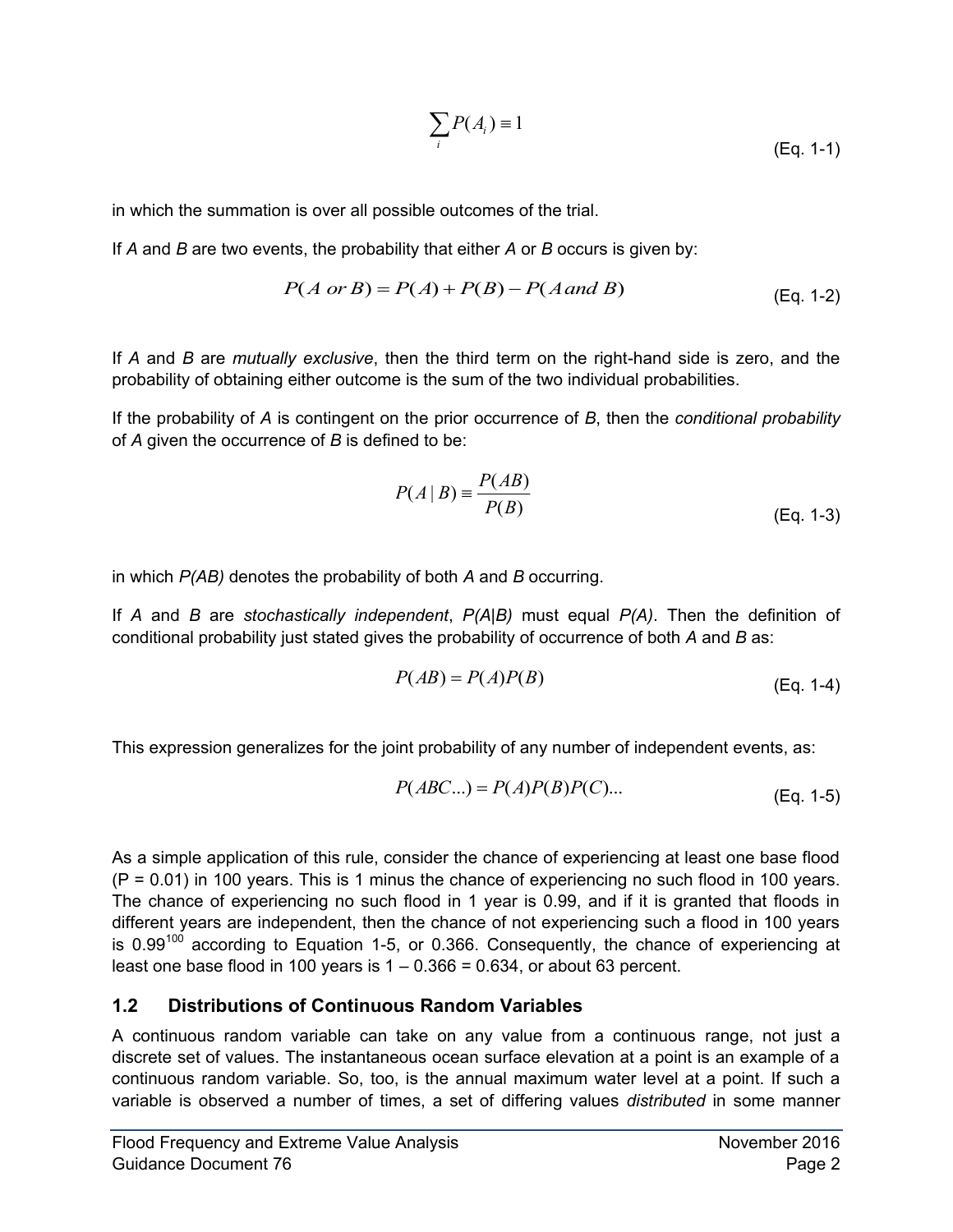$$
\sum_{i} P(A_i) = 1
$$
 (Eq. 1-1)

in which the summation is over all possible outcomes of the trial.

If *A* and *B* are two events, the probability that either *A* or *B* occurs is given by:

$$
P(A \text{ or } B) = P(A) + P(B) - P(A \text{ and } B)
$$
 (Eq. 1-2)

If *A* and *B* are *mutually exclusive*, then the third term on the right-hand side is zero, and the probability of obtaining either outcome is the sum of the two individual probabilities.

If the probability of *A* is contingent on the prior occurrence of *B*, then the *conditional probability* of *A* given the occurrence of *B* is defined to be:

$$
P(A | B) = \frac{P(AB)}{P(B)}
$$
 (Eq. 1-3)

in which *P(AB)* denotes the probability of both *A* and *B* occurring.

If *A* and *B* are *stochastically independent*, *P(A|B)* must equal *P(A)*. Then the definition of conditional probability just stated gives the probability of occurrence of both *A* and *B* as:

$$
P(AB) = P(A)P(B)
$$
 (Eq. 1-4)

This expression generalizes for the joint probability of any number of independent events, as:

$$
P(ABC...) = P(A)P(B)P(C)...
$$
 (Eq. 1-5)

As a simple application of this rule, consider the chance of experiencing at least one base flood (P = 0.01) in 100 years. This is 1 minus the chance of experiencing no such flood in 100 years. The chance of experiencing no such flood in 1 year is 0.99, and if it is granted that floods in different years are independent, then the chance of not experiencing such a flood in 100 years is  $0.99^{100}$  according to Equation 1-5, or 0.366. Consequently, the chance of experiencing at least one base flood in 100 years is  $1 - 0.366 = 0.634$ , or about 63 percent.

#### <span id="page-5-0"></span>**1.2 Distributions of Continuous Random Variables**

A continuous random variable can take on any value from a continuous range, not just a discrete set of values. The instantaneous ocean surface elevation at a point is an example of a continuous random variable. So, too, is the annual maximum water level at a point. If such a variable is observed a number of times, a set of differing values *distributed* in some manner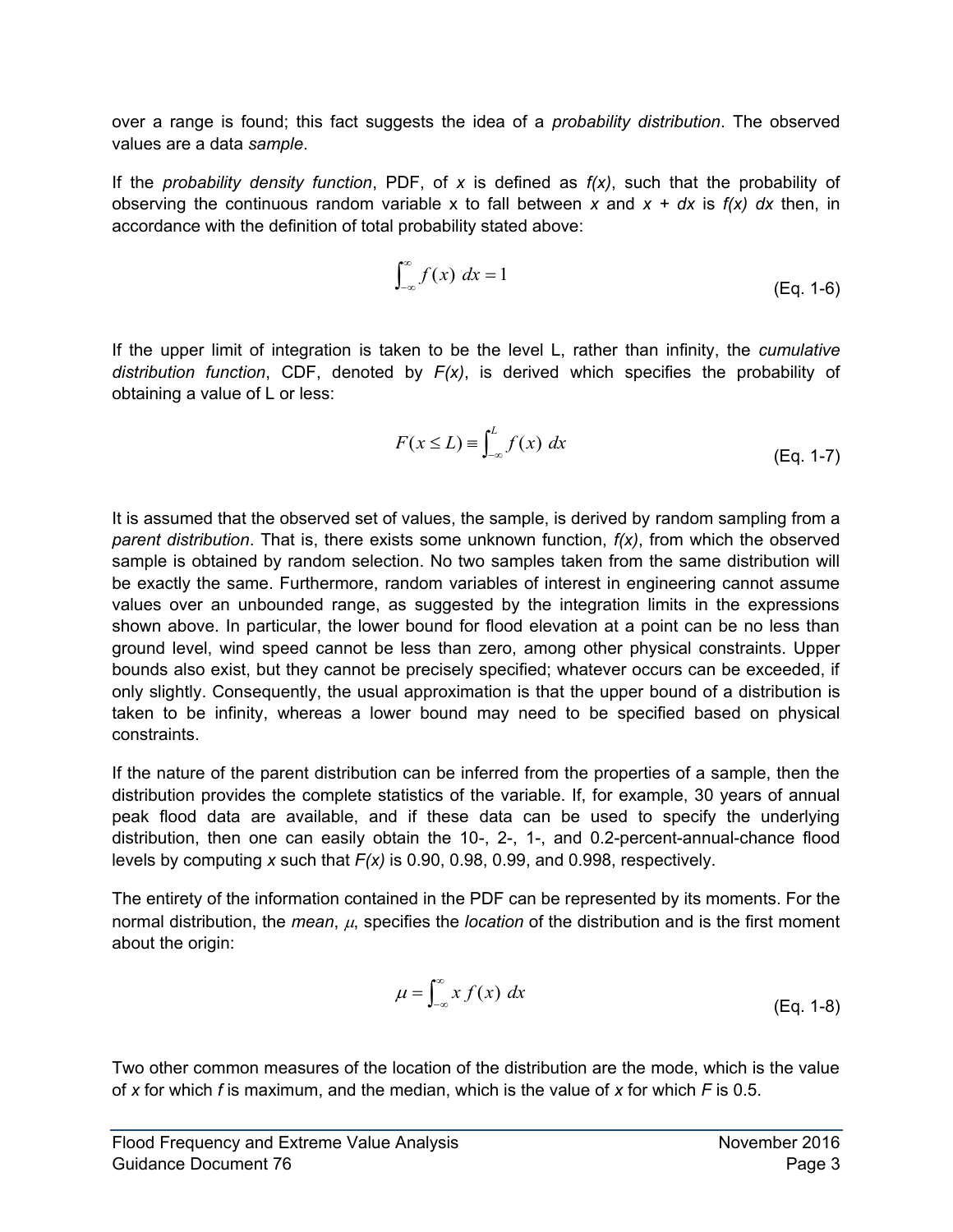over a range is found; this fact suggests the idea of a *probability distribution*. The observed values are a data *sample*.

If the *probability density function*, PDF, of *x* is defined as *f(x)*, such that the probability of observing the continuous random variable x to fall between *x* and *x + dx* is *f(x) dx* then, in accordance with the definition of total probability stated above:

$$
\int_{-\infty}^{\infty} f(x) dx = 1
$$
 (Eq. 1-6)

If the upper limit of integration is taken to be the level L, rather than infinity, the *cumulative distribution function*, CDF, denoted by *F(x)*, is derived which specifies the probability of obtaining a value of L or less:

$$
F(x \le L) \equiv \int_{-\infty}^{L} f(x) \, dx \tag{Eq. 1-7}
$$

It is assumed that the observed set of values, the sample, is derived by random sampling from a *parent distribution*. That is, there exists some unknown function, *f(x)*, from which the observed sample is obtained by random selection. No two samples taken from the same distribution will be exactly the same. Furthermore, random variables of interest in engineering cannot assume values over an unbounded range, as suggested by the integration limits in the expressions shown above. In particular, the lower bound for flood elevation at a point can be no less than ground level, wind speed cannot be less than zero, among other physical constraints. Upper bounds also exist, but they cannot be precisely specified; whatever occurs can be exceeded, if only slightly. Consequently, the usual approximation is that the upper bound of a distribution is taken to be infinity, whereas a lower bound may need to be specified based on physical constraints.

If the nature of the parent distribution can be inferred from the properties of a sample, then the distribution provides the complete statistics of the variable. If, for example, 30 years of annual peak flood data are available, and if these data can be used to specify the underlying distribution, then one can easily obtain the 10-, 2-, 1-, and 0.2-percent-annual-chance flood levels by computing *x* such that *F(x)* is 0.90, 0.98, 0.99, and 0.998, respectively.

The entirety of the information contained in the PDF can be represented by its moments. For the normal distribution, the *mean*,  $\mu$ , specifies the *location* of the distribution and is the first moment about the origin:

$$
\mu = \int_{-\infty}^{\infty} x f(x) \, dx \tag{Eq. 1-8}
$$

Two other common measures of the location of the distribution are the mode, which is the value of *x* for which *f* is maximum, and the median, which is the value of *x* for which *F* is 0.5.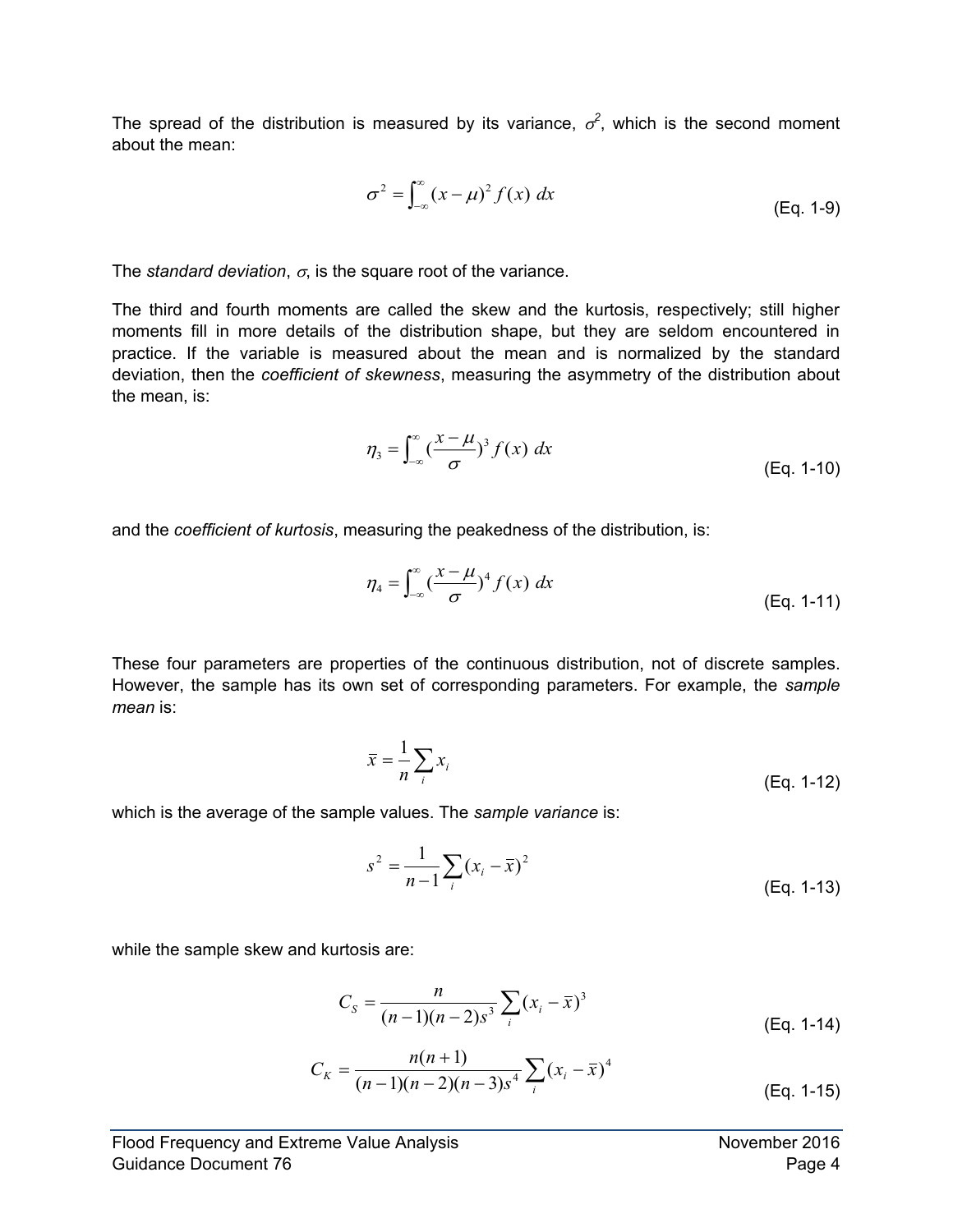The spread of the distribution is measured by its variance,  $\sigma^2$ , which is the second moment about the mean:

$$
\sigma^2 = \int_{-\infty}^{\infty} (x - \mu)^2 f(x) dx
$$
 (Eq. 1-9)

The *standard deviation,*  $\sigma$ , is the square root of the variance.

The third and fourth moments are called the skew and the kurtosis, respectively; still higher moments fill in more details of the distribution shape, but they are seldom encountered in practice. If the variable is measured about the mean and is normalized by the standard deviation, then the *coefficient of skewness*, measuring the asymmetry of the distribution about the mean, is:

$$
\eta_3 = \int_{-\infty}^{\infty} \left(\frac{x-\mu}{\sigma}\right)^3 f(x) \, dx \tag{Eq. 1-10}
$$

and the *coefficient of kurtosis*, measuring the peakedness of the distribution, is:

$$
\eta_4 = \int_{-\infty}^{\infty} \left(\frac{x - \mu}{\sigma}\right)^4 f(x) \, dx \tag{Eq. 1-11}
$$

These four parameters are properties of the continuous distribution, not of discrete samples. However, the sample has its own set of corresponding parameters. For example, the *sample mean* is:

$$
\overline{x} = \frac{1}{n} \sum_{i} x_i
$$
 (Eq. 1-12)

which is the average of the sample values. The *sample variance* is:

$$
s^{2} = \frac{1}{n-1} \sum_{i} (x_{i} - \bar{x})^{2}
$$
 (Eq. 1-13)

while the sample skew and kurtosis are:

$$
C_{S} = \frac{n}{(n-1)(n-2)s^{3}} \sum_{i} (x_{i} - \bar{x})^{3}
$$
 (Eq. 1-14)

$$
C_K = \frac{n(n+1)}{(n-1)(n-2)(n-3)s^4} \sum_{i} (x_i - \overline{x})^4
$$
 (Eq. 1-15)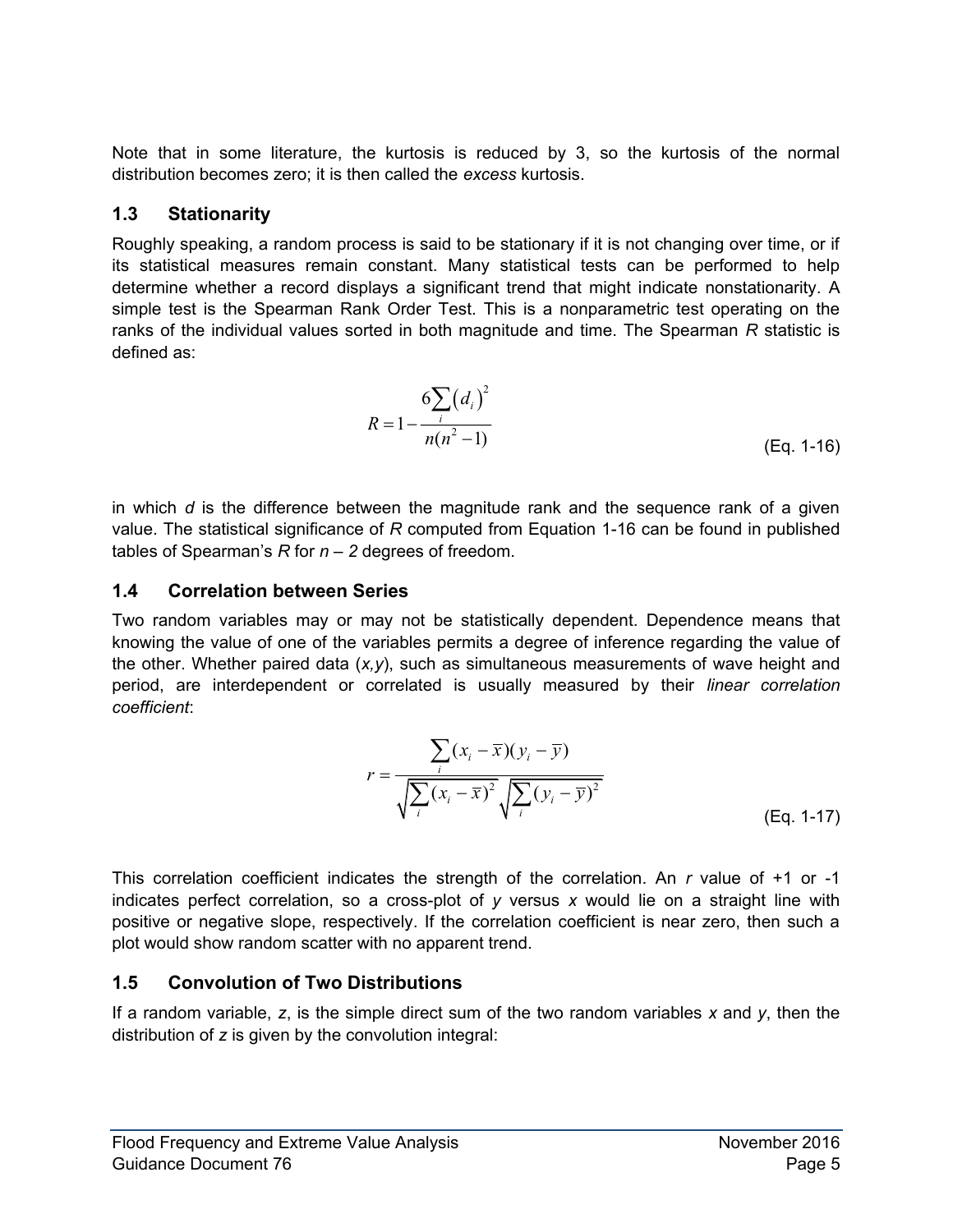Note that in some literature, the kurtosis is reduced by 3, so the kurtosis of the normal distribution becomes zero; it is then called the *excess* kurtosis.

#### <span id="page-8-0"></span>**1.3 Stationarity**

Roughly speaking, a random process is said to be stationary if it is not changing over time, or if its statistical measures remain constant. Many statistical tests can be performed to help determine whether a record displays a significant trend that might indicate nonstationarity. A simple test is the Spearman Rank Order Test. This is a nonparametric test operating on the ranks of the individual values sorted in both magnitude and time. The Spearman *R* statistic is defined as:

$$
R = 1 - \frac{6\sum_{i} (d_i)^2}{n(n^2 - 1)}
$$
 (Eq. 1-16)

in which *d* is the difference between the magnitude rank and the sequence rank of a given value. The statistical significance of *R* computed from Equation 1-16 can be found in published tables of Spearman's  $R$  for  $n-2$  degrees of freedom.

## <span id="page-8-1"></span>**1.4 Correlation between Series**

Two random variables may or may not be statistically dependent. Dependence means that knowing the value of one of the variables permits a degree of inference regarding the value of the other. Whether paired data (*x,y*), such as simultaneous measurements of wave height and period, are interdependent or correlated is usually measured by their *linear correlation coefficient*:

$$
r = \frac{\sum_{i} (x_i - \overline{x})(y_i - \overline{y})}{\sqrt{\sum_{i} (x_i - \overline{x})^2} \sqrt{\sum_{i} (y_i - \overline{y})^2}}
$$
\n(Eq. 1-17)

This correlation coefficient indicates the strength of the correlation. An *r* value of +1 or -1 indicates perfect correlation, so a cross-plot of *y* versus *x* would lie on a straight line with positive or negative slope, respectively. If the correlation coefficient is near zero, then such a plot would show random scatter with no apparent trend.

## <span id="page-8-2"></span>**1.5 Convolution of Two Distributions**

If a random variable, *z*, is the simple direct sum of the two random variables *x* and *y*, then the distribution of *z* is given by the convolution integral: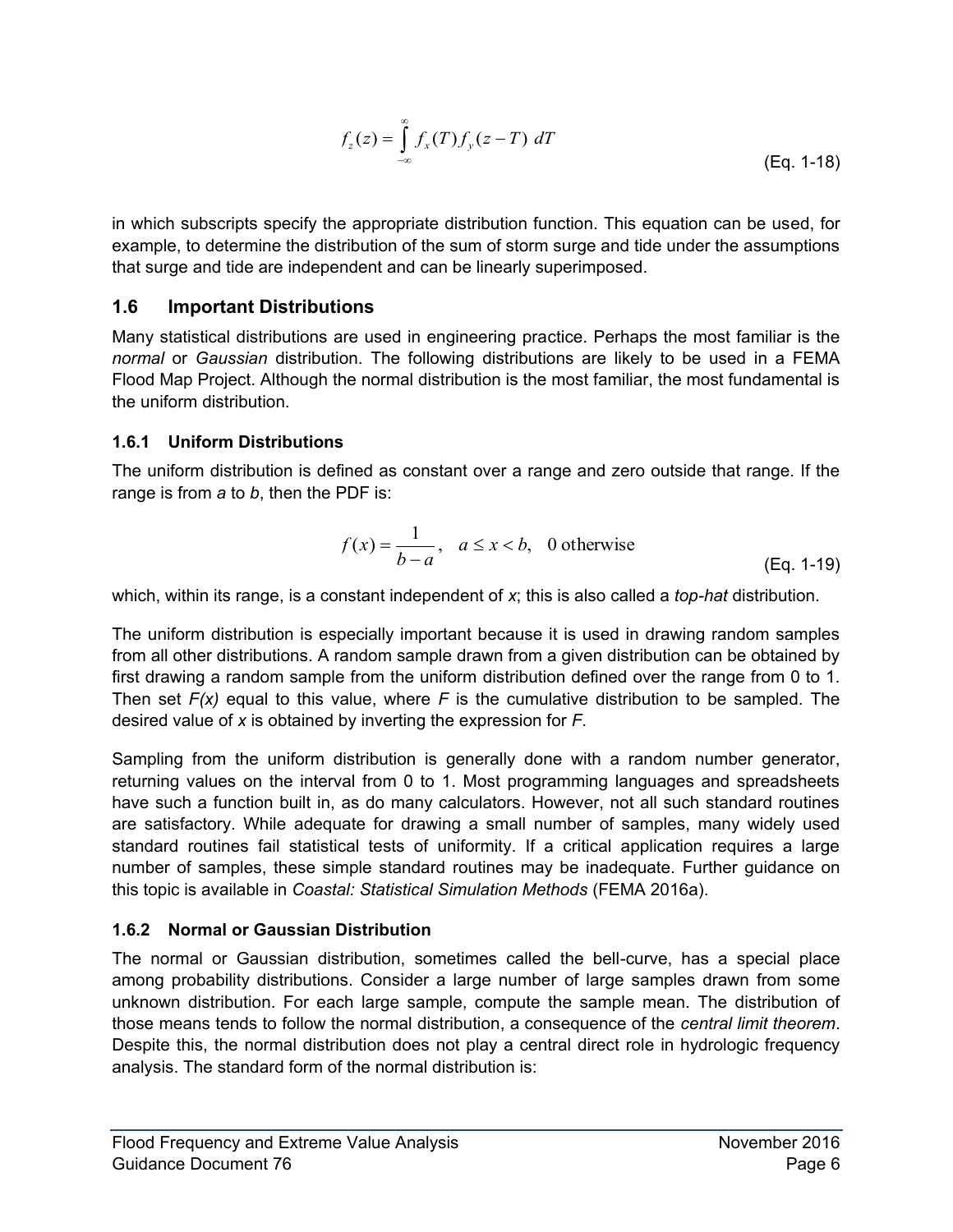$$
f_z(z) = \int_{-\infty}^{\infty} f_x(T) f_y(z - T) dT
$$
 (Eq. 1-18)

in which subscripts specify the appropriate distribution function. This equation can be used, for example, to determine the distribution of the sum of storm surge and tide under the assumptions that surge and tide are independent and can be linearly superimposed.

#### <span id="page-9-0"></span>**1.6 Important Distributions**

Many statistical distributions are used in engineering practice. Perhaps the most familiar is the *normal* or *Gaussian* distribution. The following distributions are likely to be used in a FEMA Flood Map Project. Although the normal distribution is the most familiar, the most fundamental is the uniform distribution.

#### **1.6.1 Uniform Distributions**

The uniform distribution is defined as constant over a range and zero outside that range. If the range is from *a* to *b*, then the PDF is:

$$
f(x) = \frac{1}{b-a}, \quad a \le x < b, \quad 0 \text{ otherwise}
$$
 (Eq. 1-19)

which, within its range, is a constant independent of *x*; this is also called a *top-hat* distribution.

The uniform distribution is especially important because it is used in drawing random samples from all other distributions. A random sample drawn from a given distribution can be obtained by first drawing a random sample from the uniform distribution defined over the range from 0 to 1. Then set *F(x)* equal to this value, where *F* is the cumulative distribution to be sampled. The desired value of *x* is obtained by inverting the expression for *F*.

Sampling from the uniform distribution is generally done with a random number generator, returning values on the interval from 0 to 1. Most programming languages and spreadsheets have such a function built in, as do many calculators. However, not all such standard routines are satisfactory. While adequate for drawing a small number of samples, many widely used standard routines fail statistical tests of uniformity. If a critical application requires a large number of samples, these simple standard routines may be inadequate. Further guidance on this topic is available in *Coastal: Statistical Simulation Methods* (FEMA 2016a).

#### **1.6.2 Normal or Gaussian Distribution**

The normal or Gaussian distribution, sometimes called the bell-curve, has a special place among probability distributions. Consider a large number of large samples drawn from some unknown distribution. For each large sample, compute the sample mean. The distribution of those means tends to follow the normal distribution, a consequence of the *central limit theorem*. Despite this, the normal distribution does not play a central direct role in hydrologic frequency analysis. The standard form of the normal distribution is: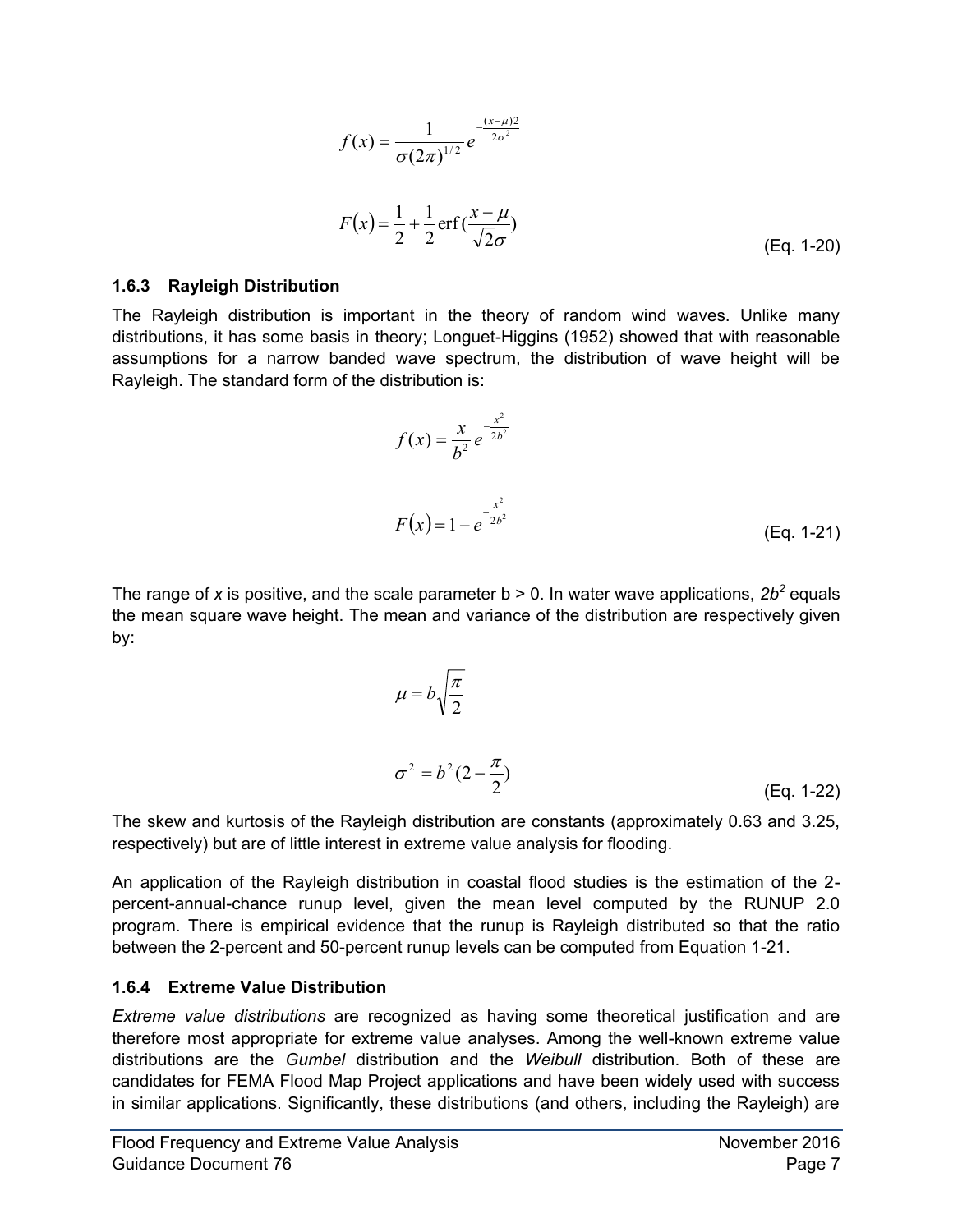$$
f(x) = \frac{1}{\sigma(2\pi)^{1/2}} e^{-\frac{(x-\mu)^2}{2\sigma^2}}
$$
  

$$
F(x) = \frac{1}{2} + \frac{1}{2} \operatorname{erf}(\frac{x-\mu}{\sqrt{2}\sigma})
$$
 (Eq. 1-20)

#### **1.6.3 Rayleigh Distribution**

The Rayleigh distribution is important in the theory of random wind waves. Unlike many distributions, it has some basis in theory; Longuet-Higgins (1952) showed that with reasonable assumptions for a narrow banded wave spectrum, the distribution of wave height will be Rayleigh. The standard form of the distribution is:

$$
f(x) = \frac{x}{b^2} e^{-\frac{x^2}{2b^2}}
$$
  

$$
F(x) = 1 - e^{-\frac{x^2}{2b^2}}
$$
 (Eq. 1-21)

The range of x is positive, and the scale parameter  $b > 0$ . In water wave applications,  $2b^2$  equals the mean square wave height. The mean and variance of the distribution are respectively given by:

$$
\mu = b \sqrt{\frac{\pi}{2}}
$$
  

$$
\sigma^2 = b^2 (2 - \frac{\pi}{2})
$$
 (Eq. 1-22)

The skew and kurtosis of the Rayleigh distribution are constants (approximately 0.63 and 3.25, respectively) but are of little interest in extreme value analysis for flooding.

An application of the Rayleigh distribution in coastal flood studies is the estimation of the 2 percent-annual-chance runup level, given the mean level computed by the RUNUP 2.0 program. There is empirical evidence that the runup is Rayleigh distributed so that the ratio between the 2-percent and 50-percent runup levels can be computed from Equation 1-21.

#### **1.6.4 Extreme Value Distribution**

*Extreme value distributions* are recognized as having some theoretical justification and are therefore most appropriate for extreme value analyses. Among the well-known extreme value distributions are the *Gumbel* distribution and the *Weibull* distribution. Both of these are candidates for FEMA Flood Map Project applications and have been widely used with success in similar applications. Significantly, these distributions (and others, including the Rayleigh) are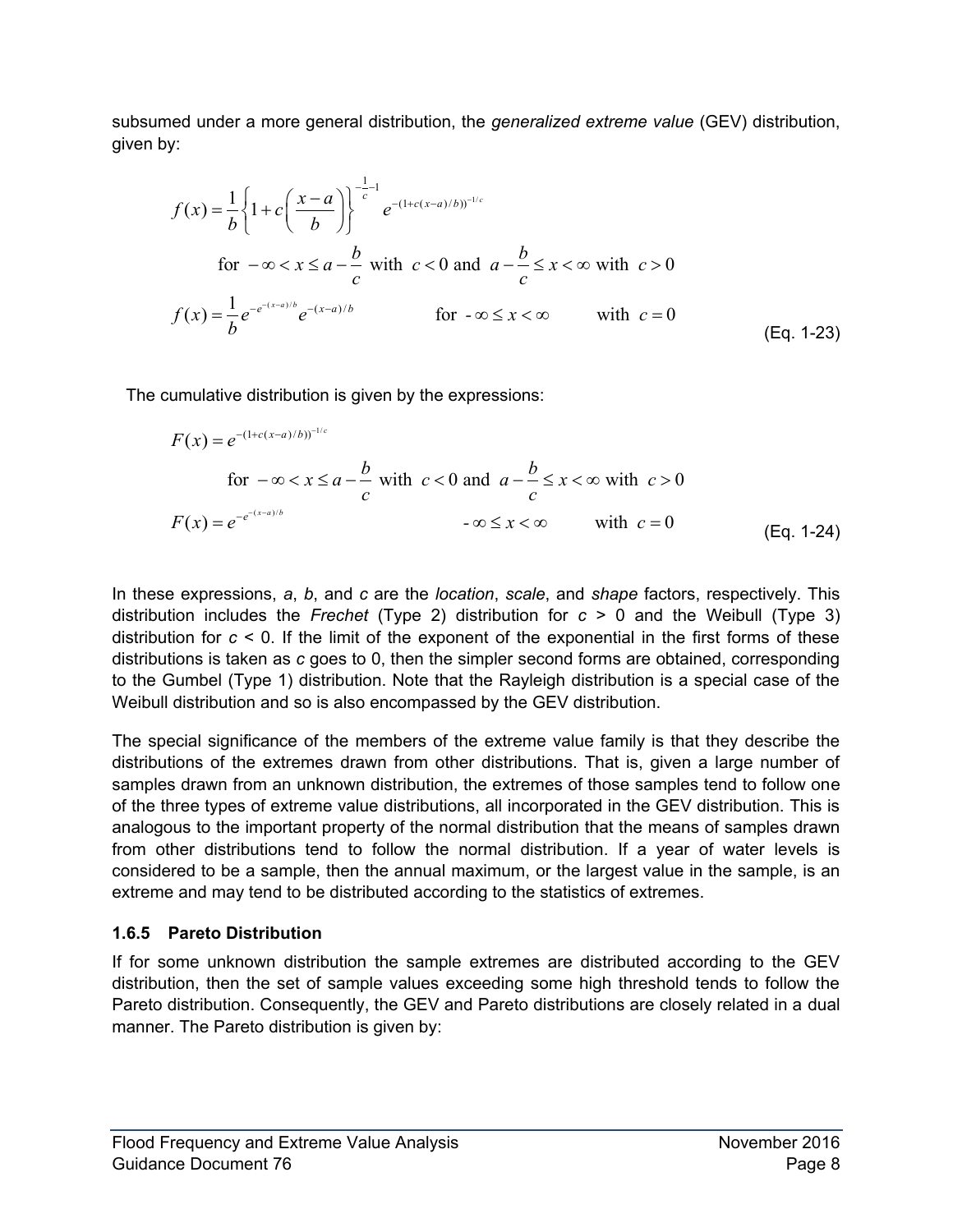subsumed under a more general distribution, the *generalized extreme value* (GEV) distribution, given by:

y:  
\n
$$
f(x) = \frac{1}{b} \left\{ 1 + c \left( \frac{x - a}{b} \right) \right\}^{\frac{1}{c} - 1} e^{-(1 + c(x - a)/b)^{-1/c}}
$$
\nfor  $-\infty < x \le a - \frac{b}{c}$  with  $c < 0$  and  $a - \frac{b}{c} \le x < \infty$  with  $c > 0$   
\n
$$
f(x) = \frac{1}{b} e^{-e^{-(x - a)/b}} e^{-(x - a)/b}
$$
\nfor  $-\infty \le x < \infty$  with  $c = 0$  (Eq. 1-23)

The cumulative distribution is given by the expressions:  
\n
$$
F(x) = e^{-(1+c(x-a)/b)^{-1/c}}
$$
\nfor  $-\infty < x \le a - \frac{b}{c}$  with  $c < 0$  and  $a - \frac{b}{c} \le x < \infty$  with  $c > 0$   
\n
$$
F(x) = e^{-e^{-(x-a)/b}}
$$
\n
$$
-\infty \le x < \infty
$$
\nwith  $c = 0$  (Eq. 1-24)

In these expressions, *a*, *b*, and *c* are the *location*, *scale*, and *shape* factors, respectively. This distribution includes the *Frechet* (Type 2) distribution for *c* > 0 and the Weibull (Type 3) distribution for *c* < 0. If the limit of the exponent of the exponential in the first forms of these distributions is taken as *c* goes to 0, then the simpler second forms are obtained, corresponding to the Gumbel (Type 1) distribution. Note that the Rayleigh distribution is a special case of the Weibull distribution and so is also encompassed by the GEV distribution.

The special significance of the members of the extreme value family is that they describe the distributions of the extremes drawn from other distributions. That is, given a large number of samples drawn from an unknown distribution, the extremes of those samples tend to follow one of the three types of extreme value distributions, all incorporated in the GEV distribution. This is analogous to the important property of the normal distribution that the means of samples drawn from other distributions tend to follow the normal distribution. If a year of water levels is considered to be a sample, then the annual maximum, or the largest value in the sample, is an extreme and may tend to be distributed according to the statistics of extremes.

## **1.6.5 Pareto Distribution**

If for some unknown distribution the sample extremes are distributed according to the GEV distribution, then the set of sample values exceeding some high threshold tends to follow the Pareto distribution. Consequently, the GEV and Pareto distributions are closely related in a dual manner. The Pareto distribution is given by: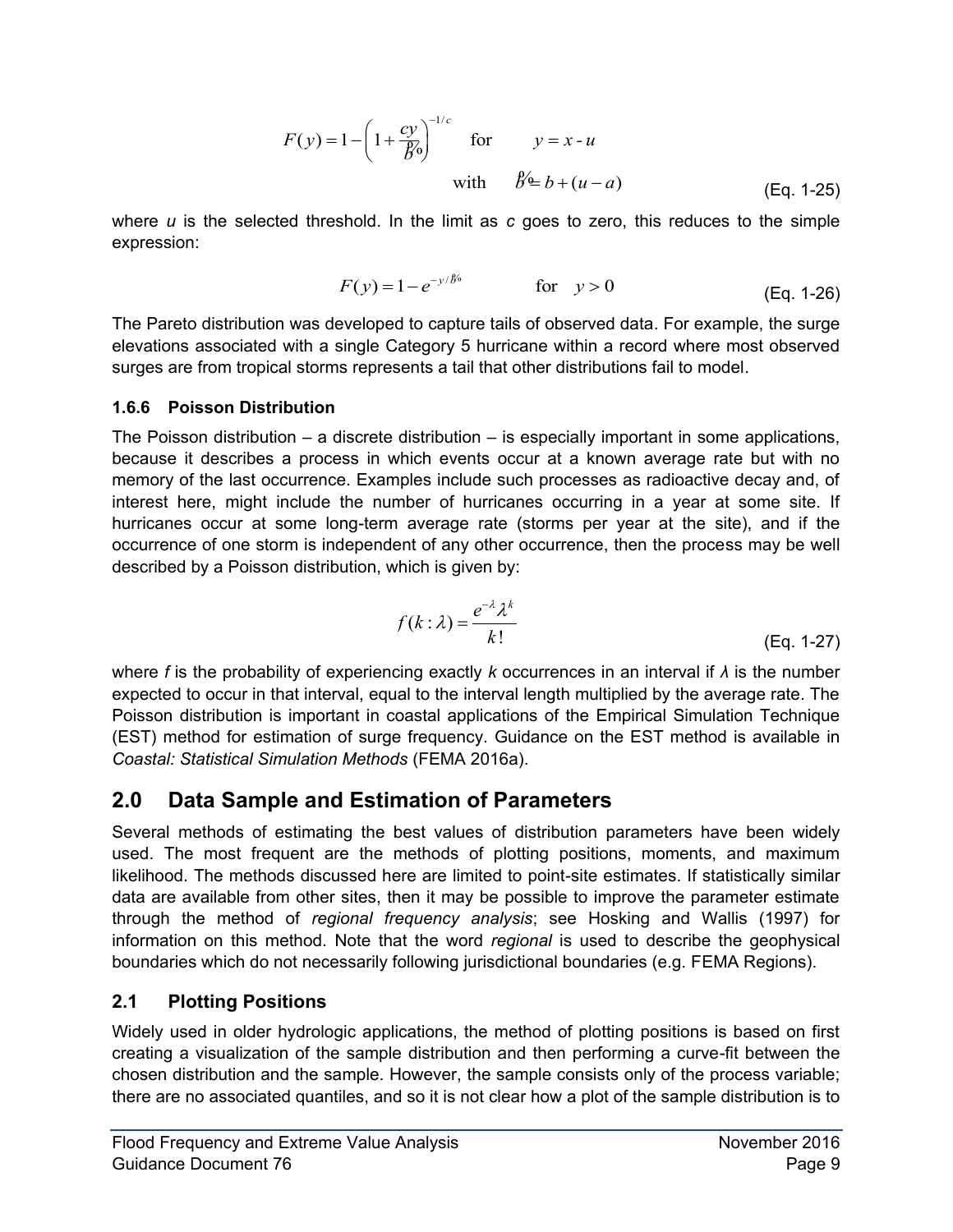$$
F(y) = 1 - \left(1 + \frac{cy}{\cancel{b}q}\right)^{-1/c} \quad \text{for} \quad y = x - u
$$
\nwith\n
$$
\cancel{b} \triangleq b + (u - a) \quad (\text{Eq. 1-25})
$$

where *u* is the selected threshold. In the limit as *c* goes to zero, this reduces to the simple expression:

$$
F(y) = 1 - e^{-y/\beta'}
$$
 for  $y > 0$  (Eq. 1-26)

The Pareto distribution was developed to capture tails of observed data. For example, the surge elevations associated with a single Category 5 hurricane within a record where most observed surges are from tropical storms represents a tail that other distributions fail to model.

#### **1.6.6 Poisson Distribution**

The Poisson distribution  $-$  a discrete distribution  $-$  is especially important in some applications, because it describes a process in which events occur at a known average rate but with no memory of the last occurrence. Examples include such processes as radioactive decay and, of interest here, might include the number of hurricanes occurring in a year at some site. If hurricanes occur at some long-term average rate (storms per year at the site), and if the occurrence of one storm is independent of any other occurrence, then the process may be well described by a Poisson distribution, which is given by:

$$
f(k:\lambda) = \frac{e^{-\lambda}\lambda^k}{k!}
$$
 (Eq. 1-27)

where *f* is the probability of experiencing exactly *k* occurrences in an interval if *λ* is the number expected to occur in that interval, equal to the interval length multiplied by the average rate. The Poisson distribution is important in coastal applications of the Empirical Simulation Technique (EST) method for estimation of surge frequency. Guidance on the EST method is available in *Coastal: Statistical Simulation Methods* (FEMA 2016a).

## <span id="page-12-0"></span>**2.0 Data Sample and Estimation of Parameters**

Several methods of estimating the best values of distribution parameters have been widely used. The most frequent are the methods of plotting positions, moments, and maximum likelihood. The methods discussed here are limited to point-site estimates. If statistically similar data are available from other sites, then it may be possible to improve the parameter estimate through the method of *regional frequency analysis*; see Hosking and Wallis (1997) for information on this method. Note that the word *regional* is used to describe the geophysical boundaries which do not necessarily following jurisdictional boundaries (e.g. FEMA Regions).

## <span id="page-12-1"></span>**2.1 Plotting Positions**

Widely used in older hydrologic applications, the method of plotting positions is based on first creating a visualization of the sample distribution and then performing a curve-fit between the chosen distribution and the sample. However, the sample consists only of the process variable; there are no associated quantiles, and so it is not clear how a plot of the sample distribution is to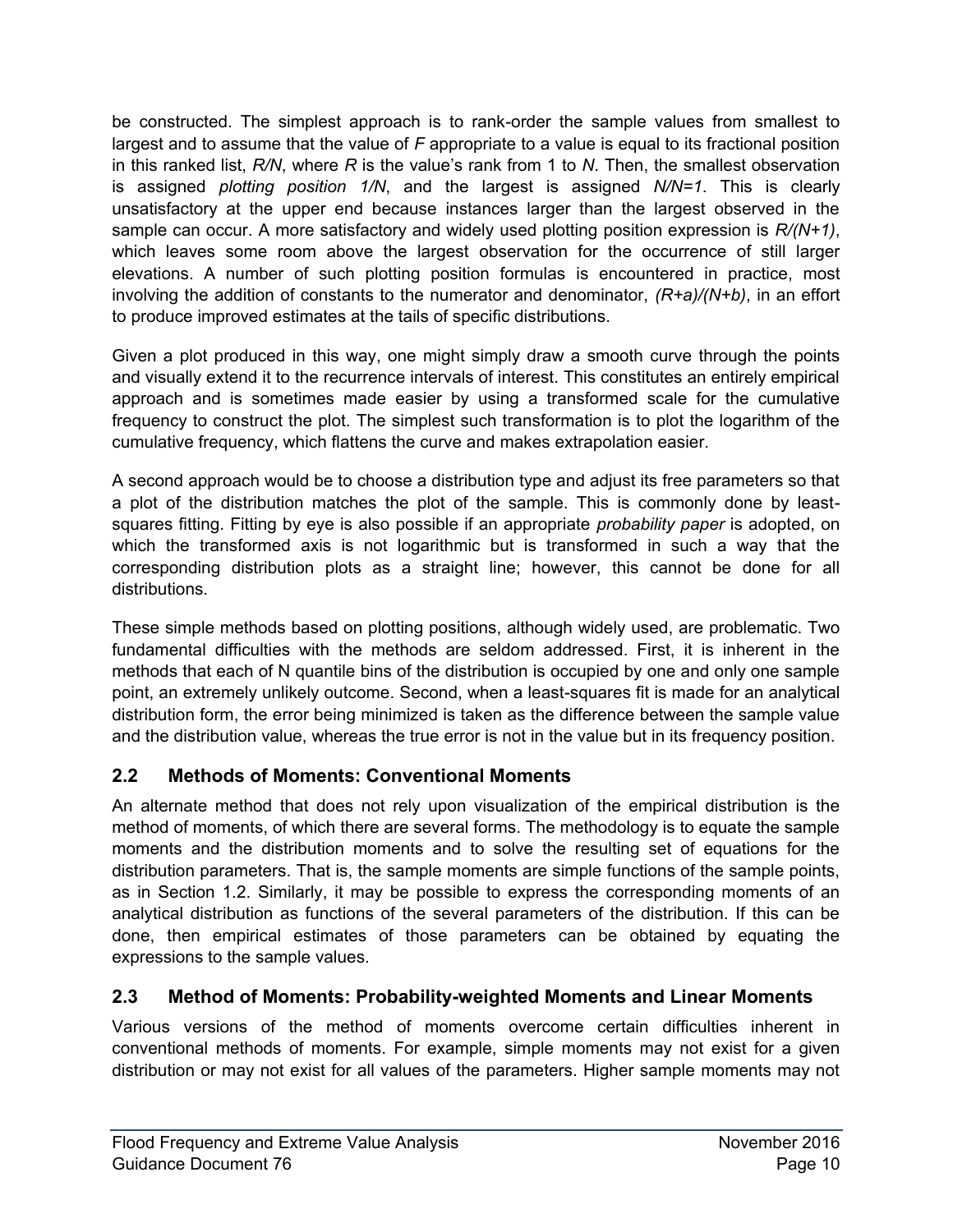be constructed. The simplest approach is to rank-order the sample values from smallest to largest and to assume that the value of *F* appropriate to a value is equal to its fractional position in this ranked list, *R/N*, where *R* is the value's rank from 1 to *N*. Then, the smallest observation is assigned *plotting position 1/N*, and the largest is assigned *N/N=1*. This is clearly unsatisfactory at the upper end because instances larger than the largest observed in the sample can occur. A more satisfactory and widely used plotting position expression is *R/(N+1)*, which leaves some room above the largest observation for the occurrence of still larger elevations. A number of such plotting position formulas is encountered in practice, most involving the addition of constants to the numerator and denominator, *(R+a)/(N+b)*, in an effort to produce improved estimates at the tails of specific distributions.

Given a plot produced in this way, one might simply draw a smooth curve through the points and visually extend it to the recurrence intervals of interest. This constitutes an entirely empirical approach and is sometimes made easier by using a transformed scale for the cumulative frequency to construct the plot. The simplest such transformation is to plot the logarithm of the cumulative frequency, which flattens the curve and makes extrapolation easier.

A second approach would be to choose a distribution type and adjust its free parameters so that a plot of the distribution matches the plot of the sample. This is commonly done by leastsquares fitting. Fitting by eye is also possible if an appropriate *probability paper* is adopted, on which the transformed axis is not logarithmic but is transformed in such a way that the corresponding distribution plots as a straight line; however, this cannot be done for all distributions.

These simple methods based on plotting positions, although widely used, are problematic. Two fundamental difficulties with the methods are seldom addressed. First, it is inherent in the methods that each of N quantile bins of the distribution is occupied by one and only one sample point, an extremely unlikely outcome. Second, when a least-squares fit is made for an analytical distribution form, the error being minimized is taken as the difference between the sample value and the distribution value, whereas the true error is not in the value but in its frequency position.

## <span id="page-13-0"></span>**2.2 Methods of Moments: Conventional Moments**

An alternate method that does not rely upon visualization of the empirical distribution is the method of moments, of which there are several forms. The methodology is to equate the sample moments and the distribution moments and to solve the resulting set of equations for the distribution parameters. That is, the sample moments are simple functions of the sample points, as in Section [1.2.](#page-5-0) Similarly, it may be possible to express the corresponding moments of an analytical distribution as functions of the several parameters of the distribution. If this can be done, then empirical estimates of those parameters can be obtained by equating the expressions to the sample values.

## <span id="page-13-1"></span>**2.3 Method of Moments: Probability-weighted Moments and Linear Moments**

Various versions of the method of moments overcome certain difficulties inherent in conventional methods of moments. For example, simple moments may not exist for a given distribution or may not exist for all values of the parameters. Higher sample moments may not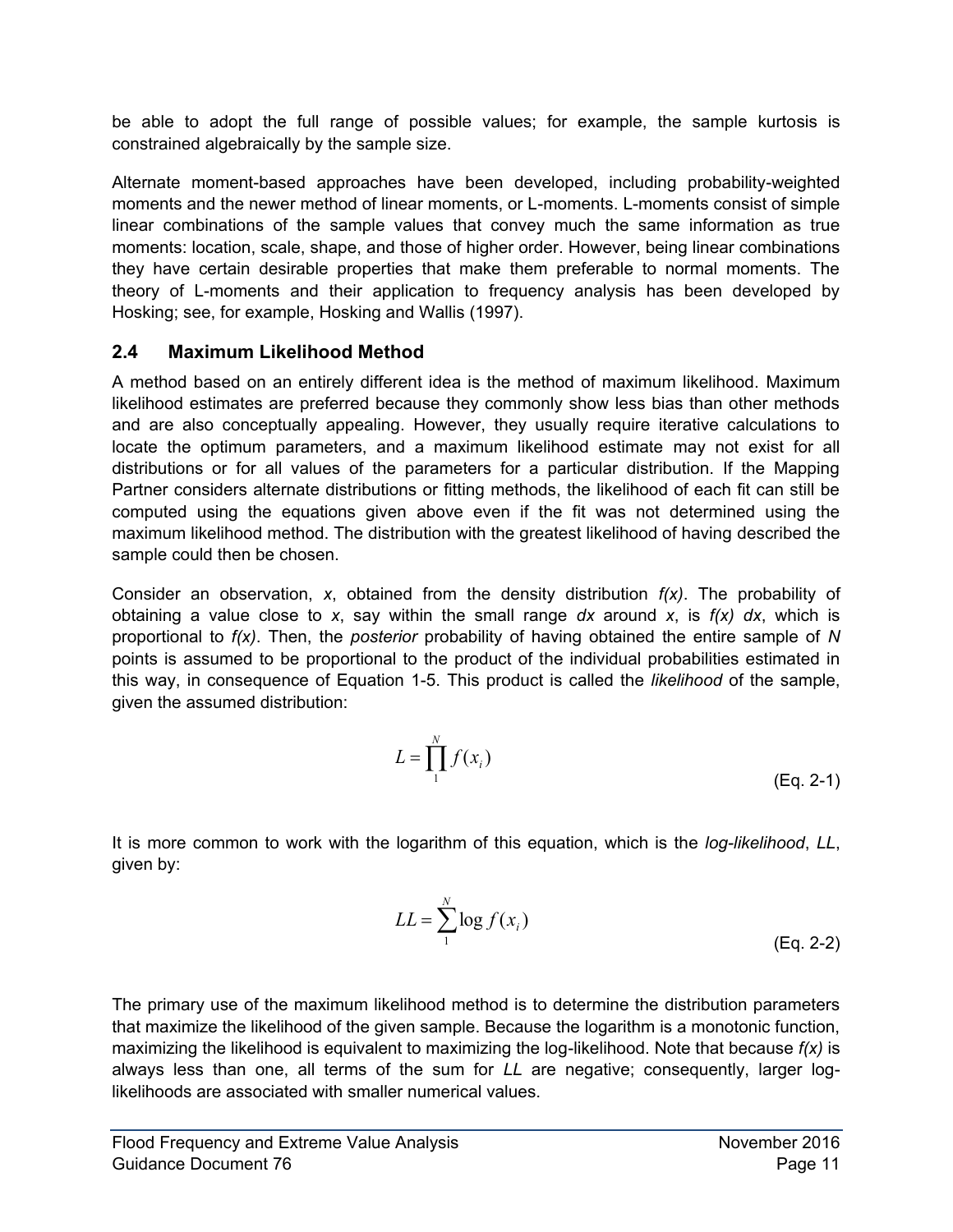be able to adopt the full range of possible values; for example, the sample kurtosis is constrained algebraically by the sample size.

Alternate moment-based approaches have been developed, including probability-weighted moments and the newer method of linear moments, or L-moments. L-moments consist of simple linear combinations of the sample values that convey much the same information as true moments: location, scale, shape, and those of higher order. However, being linear combinations they have certain desirable properties that make them preferable to normal moments. The theory of L-moments and their application to frequency analysis has been developed by Hosking; see, for example, Hosking and Wallis (1997).

### <span id="page-14-0"></span>**2.4 Maximum Likelihood Method**

A method based on an entirely different idea is the method of maximum likelihood. Maximum likelihood estimates are preferred because they commonly show less bias than other methods and are also conceptually appealing. However, they usually require iterative calculations to locate the optimum parameters, and a maximum likelihood estimate may not exist for all distributions or for all values of the parameters for a particular distribution. If the Mapping Partner considers alternate distributions or fitting methods, the likelihood of each fit can still be computed using the equations given above even if the fit was not determined using the maximum likelihood method. The distribution with the greatest likelihood of having described the sample could then be chosen.

Consider an observation, *x*, obtained from the density distribution *f(x)*. The probability of obtaining a value close to *x*, say within the small range *dx* around *x*, is *f(x) dx*, which is proportional to *f(x)*. Then, the *posterior* probability of having obtained the entire sample of *N* points is assumed to be proportional to the product of the individual probabilities estimated in this way, in consequence of Equation 1-5. This product is called the *likelihood* of the sample, given the assumed distribution:

$$
L = \prod_{1}^{N} f(x_i)
$$
 (Eq. 2-1)

It is more common to work with the logarithm of this equation, which is the *log-likelihood*, *LL*, given by:

$$
LL = \sum_{1}^{N} \log f(x_i)
$$
 (Eq. 2-2)

The primary use of the maximum likelihood method is to determine the distribution parameters that maximize the likelihood of the given sample. Because the logarithm is a monotonic function, maximizing the likelihood is equivalent to maximizing the log-likelihood. Note that because *f(x)* is always less than one, all terms of the sum for *LL* are negative; consequently, larger loglikelihoods are associated with smaller numerical values.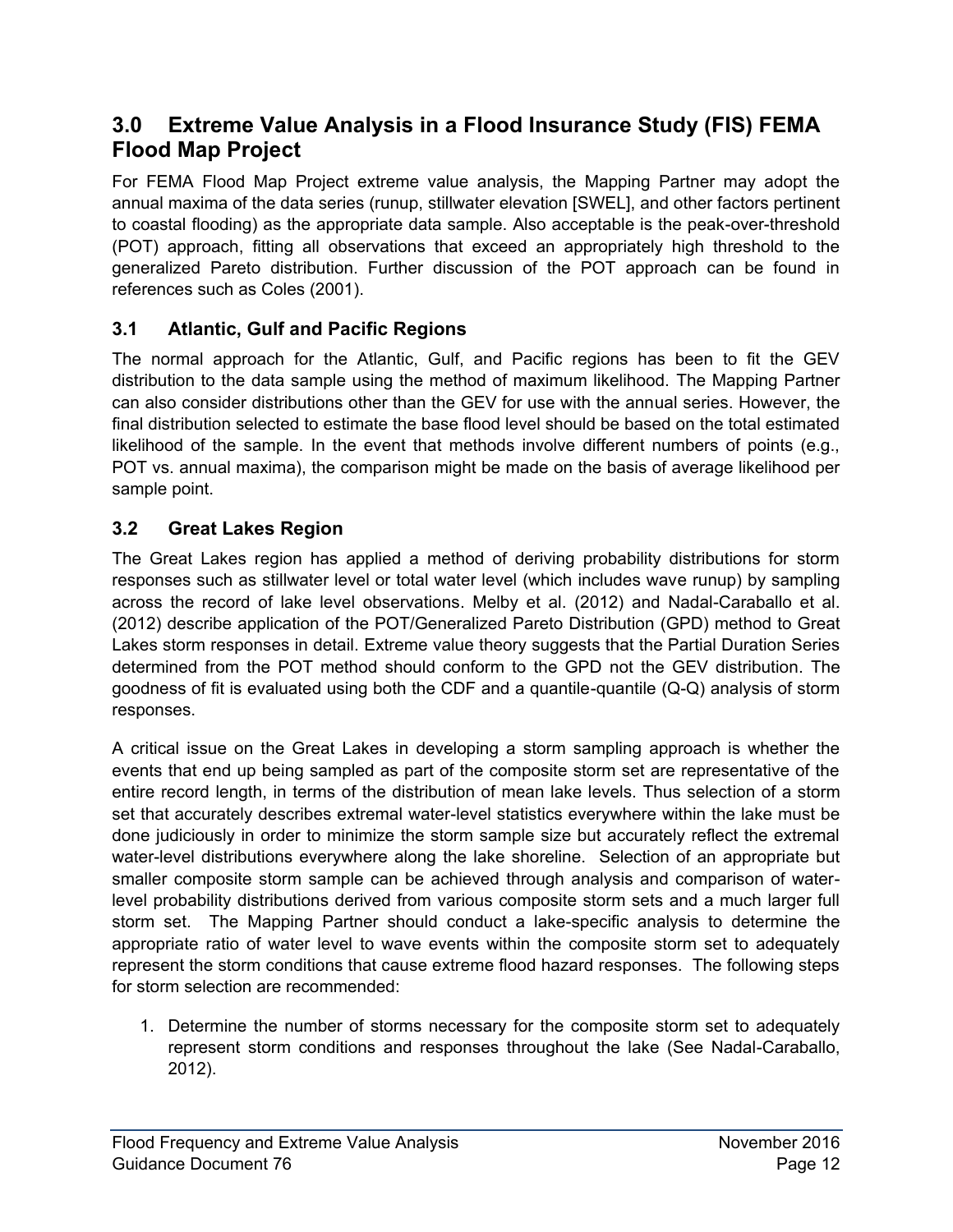## <span id="page-15-0"></span>**3.0 Extreme Value Analysis in a Flood Insurance Study (FIS) FEMA Flood Map Project**

For FEMA Flood Map Project extreme value analysis, the Mapping Partner may adopt the annual maxima of the data series (runup, stillwater elevation [SWEL], and other factors pertinent to coastal flooding) as the appropriate data sample. Also acceptable is the peak-over-threshold (POT) approach, fitting all observations that exceed an appropriately high threshold to the generalized Pareto distribution. Further discussion of the POT approach can be found in references such as Coles (2001).

## <span id="page-15-1"></span>**3.1 Atlantic, Gulf and Pacific Regions**

The normal approach for the Atlantic, Gulf, and Pacific regions has been to fit the GEV distribution to the data sample using the method of maximum likelihood. The Mapping Partner can also consider distributions other than the GEV for use with the annual series. However, the final distribution selected to estimate the base flood level should be based on the total estimated likelihood of the sample. In the event that methods involve different numbers of points (e.g., POT vs. annual maxima), the comparison might be made on the basis of average likelihood per sample point.

## <span id="page-15-2"></span>**3.2 Great Lakes Region**

The Great Lakes region has applied a method of deriving probability distributions for storm responses such as stillwater level or total water level (which includes wave runup) by sampling across the record of lake level observations. Melby et al. (2012) and Nadal-Caraballo et al. (2012) describe application of the POT/Generalized Pareto Distribution (GPD) method to Great Lakes storm responses in detail. Extreme value theory suggests that the Partial Duration Series determined from the POT method should conform to the GPD not the GEV distribution. The goodness of fit is evaluated using both the CDF and a quantile-quantile (Q-Q) analysis of storm responses.

A critical issue on the Great Lakes in developing a storm sampling approach is whether the events that end up being sampled as part of the composite storm set are representative of the entire record length, in terms of the distribution of mean lake levels. Thus selection of a storm set that accurately describes extremal water-level statistics everywhere within the lake must be done judiciously in order to minimize the storm sample size but accurately reflect the extremal water-level distributions everywhere along the lake shoreline. Selection of an appropriate but smaller composite storm sample can be achieved through analysis and comparison of waterlevel probability distributions derived from various composite storm sets and a much larger full storm set. The Mapping Partner should conduct a lake-specific analysis to determine the appropriate ratio of water level to wave events within the composite storm set to adequately represent the storm conditions that cause extreme flood hazard responses. The following steps for storm selection are recommended:

1. Determine the number of storms necessary for the composite storm set to adequately represent storm conditions and responses throughout the lake (See Nadal-Caraballo, 2012).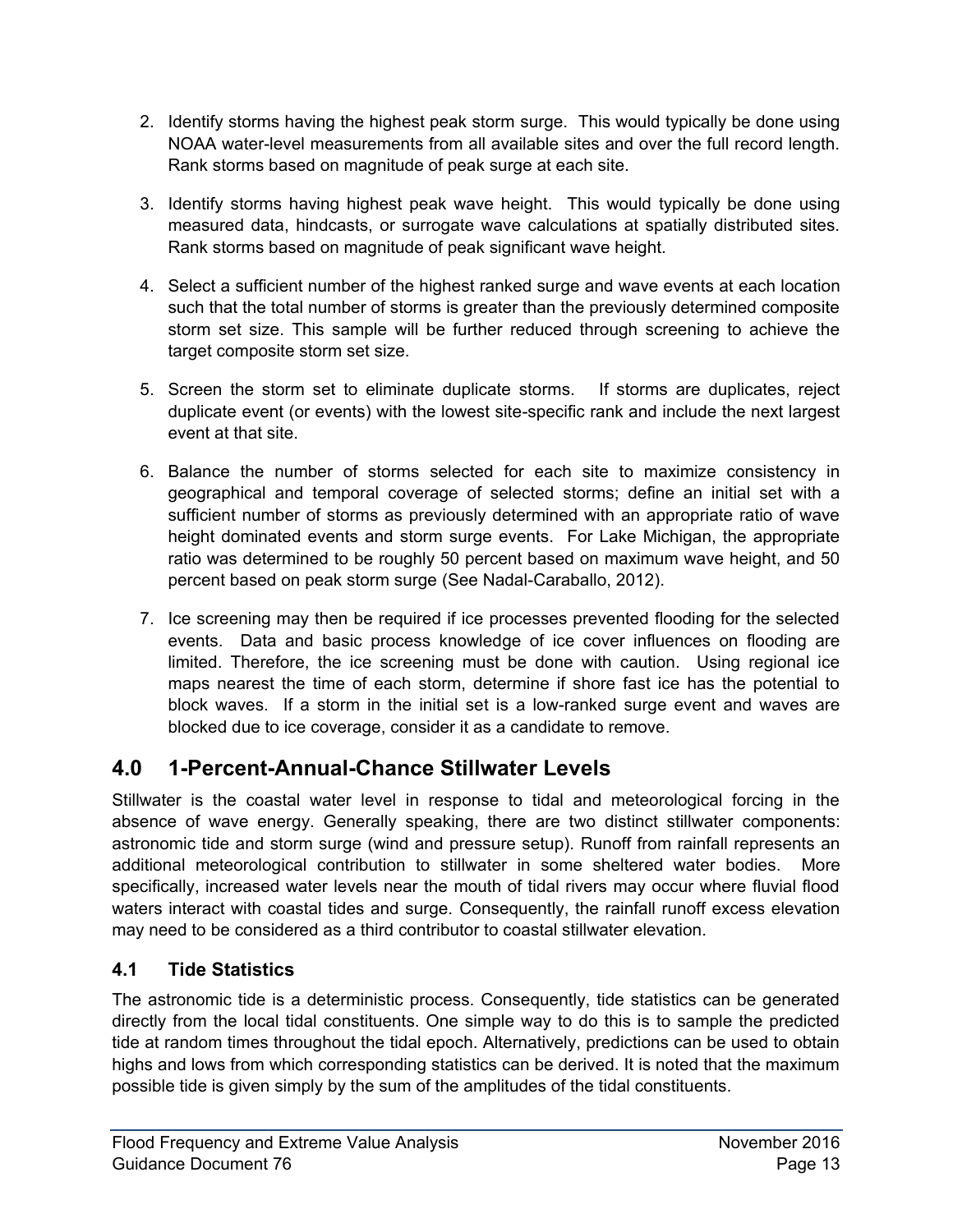- 2. Identify storms having the highest peak storm surge. This would typically be done using NOAA water-level measurements from all available sites and over the full record length. Rank storms based on magnitude of peak surge at each site.
- 3. Identify storms having highest peak wave height. This would typically be done using measured data, hindcasts, or surrogate wave calculations at spatially distributed sites. Rank storms based on magnitude of peak significant wave height.
- 4. Select a sufficient number of the highest ranked surge and wave events at each location such that the total number of storms is greater than the previously determined composite storm set size. This sample will be further reduced through screening to achieve the target composite storm set size.
- 5. Screen the storm set to eliminate duplicate storms. If storms are duplicates, reject duplicate event (or events) with the lowest site-specific rank and include the next largest event at that site.
- 6. Balance the number of storms selected for each site to maximize consistency in geographical and temporal coverage of selected storms; define an initial set with a sufficient number of storms as previously determined with an appropriate ratio of wave height dominated events and storm surge events. For Lake Michigan, the appropriate ratio was determined to be roughly 50 percent based on maximum wave height, and 50 percent based on peak storm surge (See Nadal-Caraballo, 2012).
- 7. Ice screening may then be required if ice processes prevented flooding for the selected events. Data and basic process knowledge of ice cover influences on flooding are limited. Therefore, the ice screening must be done with caution. Using regional ice maps nearest the time of each storm, determine if shore fast ice has the potential to block waves. If a storm in the initial set is a low-ranked surge event and waves are blocked due to ice coverage, consider it as a candidate to remove.

## <span id="page-16-0"></span>**4.0 1-Percent-Annual-Chance Stillwater Levels**

Stillwater is the coastal water level in response to tidal and meteorological forcing in the absence of wave energy. Generally speaking, there are two distinct stillwater components: astronomic tide and storm surge (wind and pressure setup). Runoff from rainfall represents an additional meteorological contribution to stillwater in some sheltered water bodies. More specifically, increased water levels near the mouth of tidal rivers may occur where fluvial flood waters interact with coastal tides and surge. Consequently, the rainfall runoff excess elevation may need to be considered as a third contributor to coastal stillwater elevation.

## <span id="page-16-1"></span>**4.1 Tide Statistics**

The astronomic tide is a deterministic process. Consequently, tide statistics can be generated directly from the local tidal constituents. One simple way to do this is to sample the predicted tide at random times throughout the tidal epoch. Alternatively, predictions can be used to obtain highs and lows from which corresponding statistics can be derived. It is noted that the maximum possible tide is given simply by the sum of the amplitudes of the tidal constituents.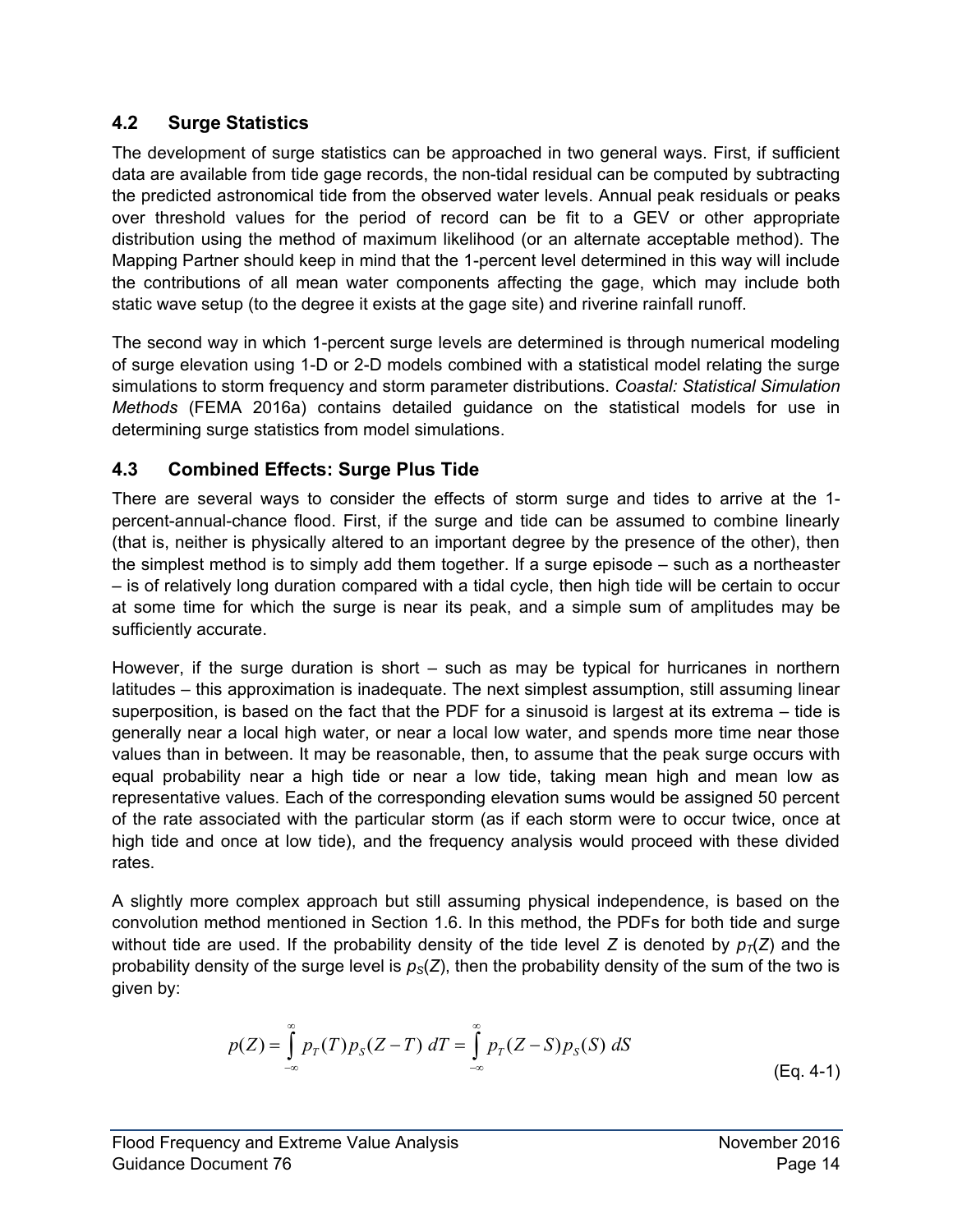## <span id="page-17-0"></span>**4.2 Surge Statistics**

The development of surge statistics can be approached in two general ways. First, if sufficient data are available from tide gage records, the non-tidal residual can be computed by subtracting the predicted astronomical tide from the observed water levels. Annual peak residuals or peaks over threshold values for the period of record can be fit to a GEV or other appropriate distribution using the method of maximum likelihood (or an alternate acceptable method). The Mapping Partner should keep in mind that the 1-percent level determined in this way will include the contributions of all mean water components affecting the gage, which may include both static wave setup (to the degree it exists at the gage site) and riverine rainfall runoff.

The second way in which 1-percent surge levels are determined is through numerical modeling of surge elevation using 1-D or 2-D models combined with a statistical model relating the surge simulations to storm frequency and storm parameter distributions. *Coastal: Statistical Simulation Methods* (FEMA 2016a) contains detailed guidance on the statistical models for use in determining surge statistics from model simulations.

## <span id="page-17-1"></span>**4.3 Combined Effects: Surge Plus Tide**

There are several ways to consider the effects of storm surge and tides to arrive at the 1 percent-annual-chance flood. First, if the surge and tide can be assumed to combine linearly (that is, neither is physically altered to an important degree by the presence of the other), then the simplest method is to simply add them together. If a surge episode – such as a northeaster – is of relatively long duration compared with a tidal cycle, then high tide will be certain to occur at some time for which the surge is near its peak, and a simple sum of amplitudes may be sufficiently accurate.

However, if the surge duration is short – such as may be typical for hurricanes in northern latitudes – this approximation is inadequate. The next simplest assumption, still assuming linear superposition, is based on the fact that the PDF for a sinusoid is largest at its extrema – tide is generally near a local high water, or near a local low water, and spends more time near those values than in between. It may be reasonable, then, to assume that the peak surge occurs with equal probability near a high tide or near a low tide, taking mean high and mean low as representative values. Each of the corresponding elevation sums would be assigned 50 percent of the rate associated with the particular storm (as if each storm were to occur twice, once at high tide and once at low tide), and the frequency analysis would proceed with these divided rates.

A slightly more complex approach but still assuming physical independence, is based on the convolution method mentioned in Section 1.6. In this method, the PDFs for both tide and surge without tide are used. If the probability density of the tide level *Z* is denoted by  $p_T(Z)$  and the probability density of the surge level is  $p<sub>S</sub>(Z)$ , then the probability density of the sum of the two is given by:

$$
p(Z) = \int_{-\infty}^{\infty} p_T(T) p_S(Z - T) \, dT = \int_{-\infty}^{\infty} p_T(Z - S) p_S(S) \, dS
$$
\n(Eq. 4-1)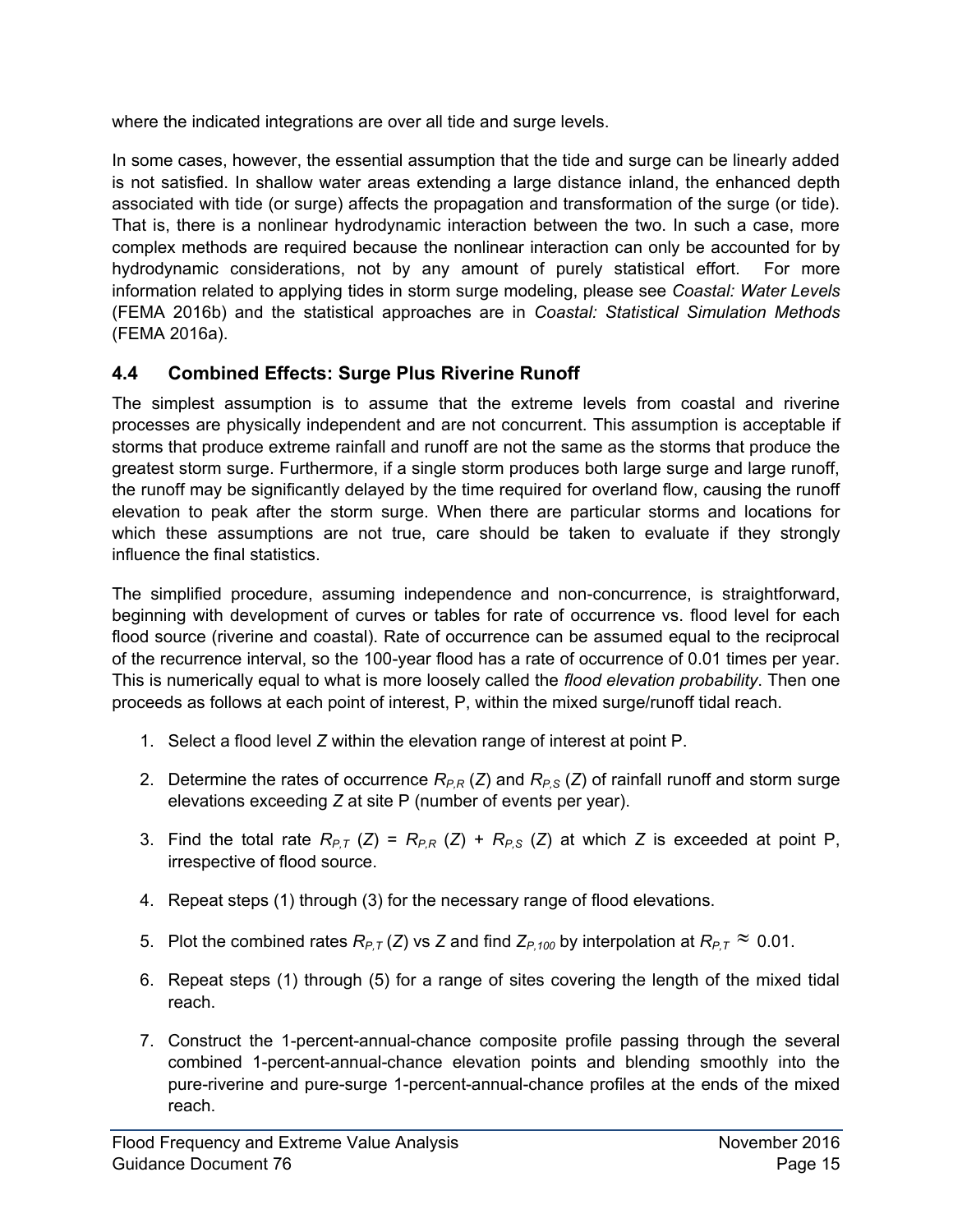where the indicated integrations are over all tide and surge levels.

In some cases, however, the essential assumption that the tide and surge can be linearly added is not satisfied. In shallow water areas extending a large distance inland, the enhanced depth associated with tide (or surge) affects the propagation and transformation of the surge (or tide). That is, there is a nonlinear hydrodynamic interaction between the two. In such a case, more complex methods are required because the nonlinear interaction can only be accounted for by hydrodynamic considerations, not by any amount of purely statistical effort. For more information related to applying tides in storm surge modeling, please see *Coastal: Water Levels*  (FEMA 2016b) and the statistical approaches are in *Coastal: Statistical Simulation Methods* (FEMA 2016a).

## <span id="page-18-0"></span>**4.4 Combined Effects: Surge Plus Riverine Runoff**

The simplest assumption is to assume that the extreme levels from coastal and riverine processes are physically independent and are not concurrent. This assumption is acceptable if storms that produce extreme rainfall and runoff are not the same as the storms that produce the greatest storm surge. Furthermore, if a single storm produces both large surge and large runoff, the runoff may be significantly delayed by the time required for overland flow, causing the runoff elevation to peak after the storm surge. When there are particular storms and locations for which these assumptions are not true, care should be taken to evaluate if they strongly influence the final statistics.

The simplified procedure, assuming independence and non-concurrence, is straightforward, beginning with development of curves or tables for rate of occurrence vs. flood level for each flood source (riverine and coastal). Rate of occurrence can be assumed equal to the reciprocal of the recurrence interval, so the 100-year flood has a rate of occurrence of 0.01 times per year. This is numerically equal to what is more loosely called the *flood elevation probability*. Then one proceeds as follows at each point of interest, P, within the mixed surge/runoff tidal reach.

- 1. Select a flood level *Z* within the elevation range of interest at point P.
- 2. Determine the rates of occurrence *RP,R* (*Z*) and *RP,S* (*Z*) of rainfall runoff and storm surge elevations exceeding *Z* at site P (number of events per year).
- 3. Find the total rate  $R_{P,T}(Z) = R_{P,R}(Z) + R_{P,S}(Z)$  at which *Z* is exceeded at point P, irrespective of flood source.
- 4. Repeat steps (1) through (3) for the necessary range of flood elevations.
- 5. Plot the combined rates  $R_{P,T}$  (*Z*) vs *Z* and find  $Z_{P,100}$  by interpolation at  $R_{P,T}$   $\approx$  0.01.
- 6. Repeat steps (1) through (5) for a range of sites covering the length of the mixed tidal reach.
- 7. Construct the 1-percent-annual-chance composite profile passing through the several combined 1-percent-annual-chance elevation points and blending smoothly into the pure-riverine and pure-surge 1-percent-annual-chance profiles at the ends of the mixed reach.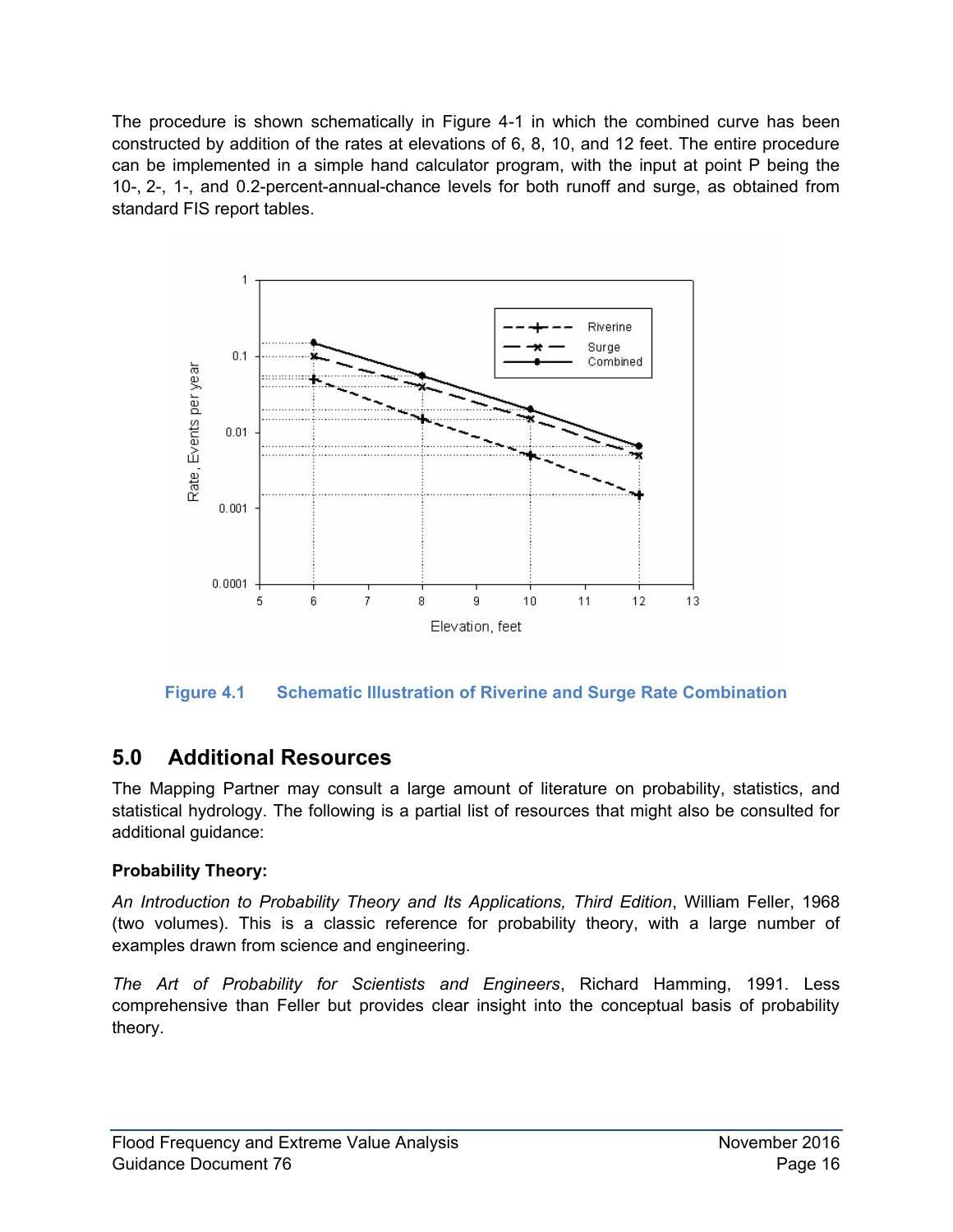The procedure is shown schematically in Figure 4-1 in which the combined curve has been constructed by addition of the rates at elevations of 6, 8, 10, and 12 feet. The entire procedure can be implemented in a simple hand calculator program, with the input at point P being the 10-, 2-, 1-, and 0.2-percent-annual-chance levels for both runoff and surge, as obtained from standard FIS report tables.



<span id="page-19-1"></span>**Figure 4.1 Schematic Illustration of Riverine and Surge Rate Combination** 

## <span id="page-19-0"></span>**5.0 Additional Resources**

The Mapping Partner may consult a large amount of literature on probability, statistics, and statistical hydrology. The following is a partial list of resources that might also be consulted for additional guidance:

## **Probability Theory:**

*An Introduction to Probability Theory and Its Applications, Third Edition*, William Feller, 1968 (two volumes). This is a classic reference for probability theory, with a large number of examples drawn from science and engineering.

*The Art of Probability for Scientists and Engineers*, Richard Hamming, 1991. Less comprehensive than Feller but provides clear insight into the conceptual basis of probability theory.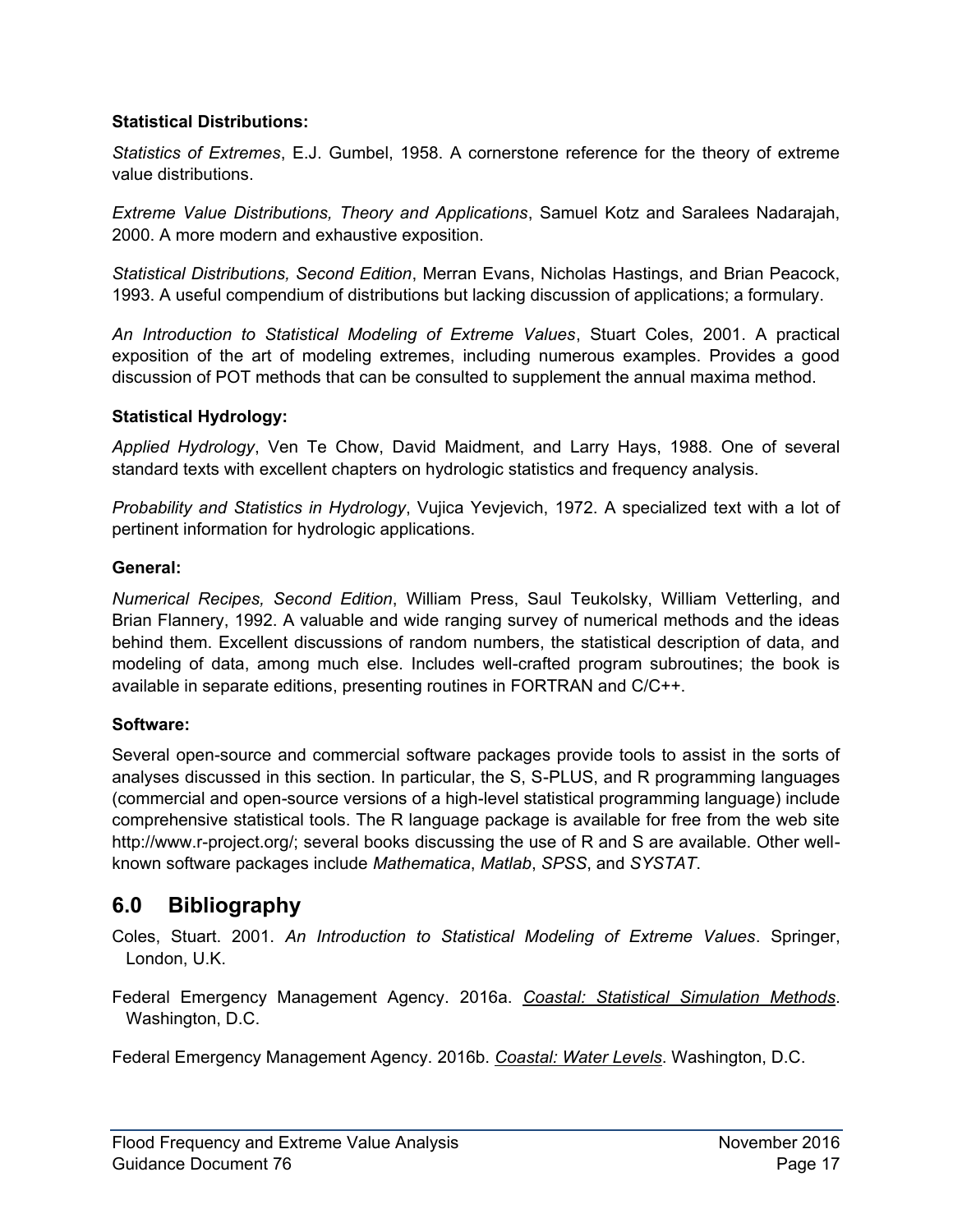#### **Statistical Distributions:**

*Statistics of Extremes*, E.J. Gumbel, 1958. A cornerstone reference for the theory of extreme value distributions.

*Extreme Value Distributions, Theory and Applications*, Samuel Kotz and Saralees Nadarajah, 2000. A more modern and exhaustive exposition.

*Statistical Distributions, Second Edition*, Merran Evans, Nicholas Hastings, and Brian Peacock, 1993. A useful compendium of distributions but lacking discussion of applications; a formulary.

*An Introduction to Statistical Modeling of Extreme Values*, Stuart Coles, 2001. A practical exposition of the art of modeling extremes, including numerous examples. Provides a good discussion of POT methods that can be consulted to supplement the annual maxima method.

#### **Statistical Hydrology:**

*Applied Hydrology*, Ven Te Chow, David Maidment, and Larry Hays, 1988. One of several standard texts with excellent chapters on hydrologic statistics and frequency analysis.

*Probability and Statistics in Hydrology*, Vujica Yevjevich, 1972. A specialized text with a lot of pertinent information for hydrologic applications.

#### **General:**

*Numerical Recipes, Second Edition*, William Press, Saul Teukolsky, William Vetterling, and Brian Flannery, 1992. A valuable and wide ranging survey of numerical methods and the ideas behind them. Excellent discussions of random numbers, the statistical description of data, and modeling of data, among much else. Includes well-crafted program subroutines; the book is available in separate editions, presenting routines in FORTRAN and C/C++.

#### **Software:**

Several open-source and commercial software packages provide tools to assist in the sorts of analyses discussed in this section. In particular, the S, S-PLUS, and R programming languages (commercial and open-source versions of a high-level statistical programming language) include comprehensive statistical tools. The R language package is available for free from the web site http://www.r-project.org/; several books discussing the use of R and S are available. Other wellknown software packages include *Mathematica*, *Matlab*, *SPSS*, and *SYSTAT*.

## <span id="page-20-0"></span>**6.0 Bibliography**

Coles, Stuart. 2001. *An Introduction to Statistical Modeling of Extreme Values*. Springer, London, U.K.

Federal Emergency Management Agency. 2016a. *Coastal: Statistical Simulation Methods*. Washington, D.C.

Federal Emergency Management Agency. 2016b. *Coastal: Water Levels*. Washington, D.C.